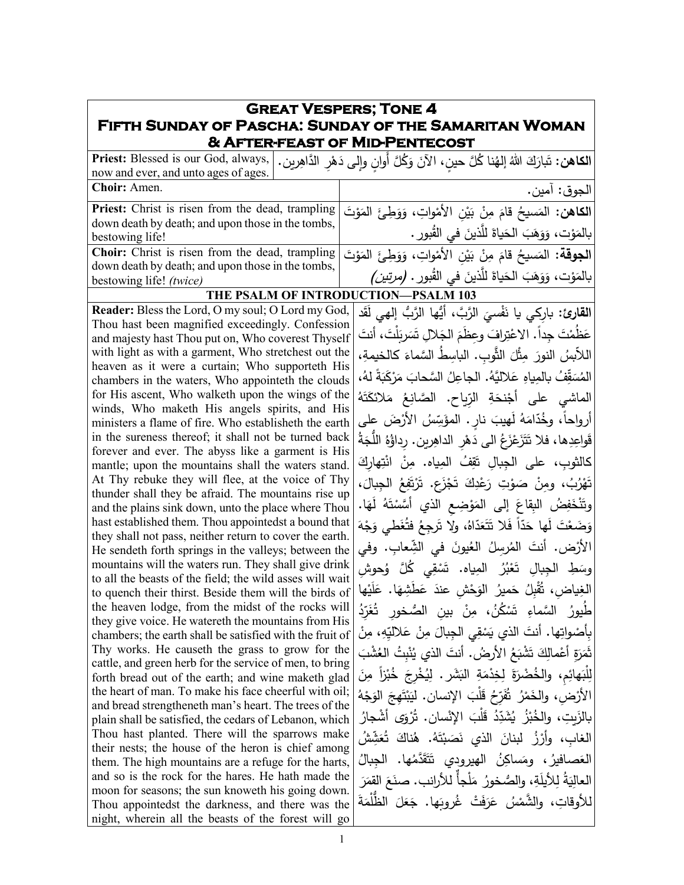| <b>GREAT VESPERS; TONE 4</b>                                                                                      |                                                                                                   |
|-------------------------------------------------------------------------------------------------------------------|---------------------------------------------------------------------------------------------------|
| FIFTH SUNDAY OF PASCHA: SUNDAY OF THE SAMARITAN WOMAN                                                             |                                                                                                   |
| & AFTER-FEAST OF MID-PENTECOST                                                                                    |                                                                                                   |
| Priest: Blessed is our God, always,                                                                               | ا <b>لكاهن:</b> تَبارَكَ اللهُ إلهُنا كُلَّ حينِ، الآنَ وَكُلَّ أُوانِ وإِلى دَهْرِ الدَّاهِرينِ. |
| now and ever, and unto ages of ages.<br>Choir: Amen.                                                              |                                                                                                   |
|                                                                                                                   | الجوق: آمين.                                                                                      |
| Priest: Christ is risen from the dead, trampling                                                                  | ا <b>لكاهن:</b> المَسيحُ قامَ مِنْ بَيْنِ الأَمْواتِ، وَوَطِئَ المَوْتَ                           |
| down death by death; and upon those in the tombs,                                                                 | بالمَوْت، وَوَهَبَ الْحَياةَ للَّذينَ في القُبورِ .                                               |
| bestowing life!<br>Choir: Christ is risen from the dead, trampling                                                |                                                                                                   |
| down death by death; and upon those in the tombs,                                                                 | ا <b>لجوقة:</b> المَسيحُ قامَ مِنْ بَيْنِ الأَمْواتِ، وَوَطِئَ المَوْتَ                           |
| bestowing life! (twice)                                                                                           | بالمَوْت، وَوَهَبَ الحَياةَ للَّذينَ في القُبور . <i>(مرتين)</i>                                  |
| THE PSALM OF INTRODUCTION-PSALM 103                                                                               |                                                                                                   |
| Reader: Bless the Lord, O my soul; O Lord my God,                                                                 | ا <b>لقارئ:</b> باركي يا نَفْسيَ الرَّبَّ، أَيُّها الرَّبُّ إل <sub>َّ</sub> هي لَقَد             |
| Thou hast been magnified exceedingly. Confession                                                                  |                                                                                                   |
| and majesty hast Thou put on, Who coverest Thyself                                                                | عَظُمْتَ جِداً. الاعْتِرافَ وعِظَمَ الجَلالِ تَسَرِبَلْتَ، أنتَ                                   |
| with light as with a garment, Who stretchest out the                                                              | اللأَبِسُ النورَ مِثْلَ الثَّوبِ. الباسِطُ السَّماءَ كالخيمةِ،                                    |
| heaven as it were a curtain; Who supporteth His<br>chambers in the waters, Who appointeth the clouds              | المُسَقِّفُ بِالمِياهِ عَلاليَّهُ. الجاعِلُ السَّحابَ مَرْكَبَةً لهُ،                             |
| for His ascent, Who walketh upon the wings of the                                                                 |                                                                                                   |
| winds, Who maketh His angels spirits, and His                                                                     | الماشي على أَجْنحَةِ الرّياحِ. الصَّانِعُ مَلائكَتَهُ                                             |
| ministers a flame of fire. Who establisheth the earth                                                             | أرواحاً، وخُدّامَهُ لَهيبَ نارٍ . المؤَسِّسُ الأَرْضَ على                                         |
| in the sureness thereof; it shall not be turned back                                                              | قَواعِدِها، فلا تَتَزَعْزَعُ الى دَهْرِ الداهِرينِ. رداؤُهُ اللَّجَةُ                             |
| forever and ever. The abyss like a garment is His                                                                 | كالثوبِ، على الجِبالِ تَقِفُ المِياه. مِنْ انْتِهارِكَ                                            |
| mantle; upon the mountains shall the waters stand.                                                                |                                                                                                   |
| At Thy rebuke they will flee, at the voice of Thy<br>thunder shall they be afraid. The mountains rise up          | تَهْرُبُ، ومنْ صَوْتِ رَعْدِكَ تَجْزَعٍ. تَرْتَفِعُ الْجِبالَ،                                    |
| and the plains sink down, unto the place where Thou                                                               | وتَنْخَفِضُ البِقاعَ إلى المَوْضِعِ الذي أَسَّسْتَهُ لَهَا.                                       |
| hast established them. Thou appointedst a bound that                                                              | وَضَعْتَ لَها حَدّاً فَلا تَتَعَدّاهُ، ولا تَرجِعُ فتُغَطى وَجْهَ                                 |
| they shall not pass, neither return to cover the earth.                                                           |                                                                                                   |
| He sendeth forth springs in the valleys; between the                                                              | الأرْض. أنتَ المُرسِلُ العُيونَ في الشِّعابِ. وفي                                                 |
| mountains will the waters run. They shall give drink                                                              | وسَطِ الْجِبالِ تَعْبُرُ الْمِياه. تَسْقِي كُلَّ وُحوشِ                                           |
| to all the beasts of the field; the wild asses will wait<br>to quench their thirst. Beside them will the birds of | الغِياضِ، ثُقْبِلُ حَميرُ الوَحْشِ عندَ عَطَشِهَا. عَلَيْها                                       |
| the heaven lodge, from the midst of the rocks will                                                                |                                                                                                   |
| they give voice. He watereth the mountains from His                                                               | الصُّخور ثُغَرّدُ<br>طُيورُ السَّماءِ تَسْكُنُ، مِنْ بينِ                                         |
| chambers; the earth shall be satisfied with the fruit of                                                          | بِأَصْواتِها. أَنتَ الذي يَسْقِي الْجِبالَ مِنْ عَلاليّهِ، مِنْ                                   |
| Thy works. He causeth the grass to grow for the                                                                   | ثْمَرَةِ أَعْمالِكَ تَشْبَعُ الأرضُ. أنتَ الذي يُنْبِتُ العُشْبَ                                  |
| cattle, and green herb for the service of men, to bring                                                           |                                                                                                   |
| forth bread out of the earth; and wine maketh glad                                                                | لِلْبَهائِم، والخُضْرَةَ لِخِدْمَةِ البَشَرِ . لِيُخْرِجَ خُبْرْاً مِنَ                           |
| the heart of man. To make his face cheerful with oil;<br>and bread strengtheneth man's heart. The trees of the    | الأَرْضِ، والخَمْرُ ۖ ثَفَرِّحُ قَلْبَ الإِنسانِ. لَيَبْتَهِجَ الْوَجْهُ                          |
| plain shall be satisfied, the cedars of Lebanon, which                                                            | بِالزَبِتِ، والخُبْزُ ۖ يُشَدِّدُ قَلْبَ الإِنْسانِ. تُرْوَى أَشْجِارُ                            |
| Thou hast planted. There will the sparrows make                                                                   | الْغَابِ، وَأَرْزُ لَبِنَانَ الَّذِي نَصَبْتَهُ. هُناكَ تُعَشِّشُ                                 |
| their nests; the house of the heron is chief among                                                                |                                                                                                   |
| them. The high mountains are a refuge for the harts,                                                              | تَتَقَدّمُها. الجبالُ<br>العَصافيرُ ، ومَساكِنُ الهيرودي                                          |
| and so is the rock for the hares. He hath made the                                                                | العاليَةُ للأيلَةِ، والصُّخورُ مَلَجأً للأرانبِ. صنَعَ القِمَرَ                                   |
| moon for seasons; the sun knoweth his going down.                                                                 | للأوقاتِ، والشَّمْسُ عَرَفَتْ غُروبَها.<br>جَعَلَ الظلمَةَ                                        |
| Thou appointedst the darkness, and there was the<br>night, wherein all the beasts of the forest will go           |                                                                                                   |
|                                                                                                                   |                                                                                                   |

r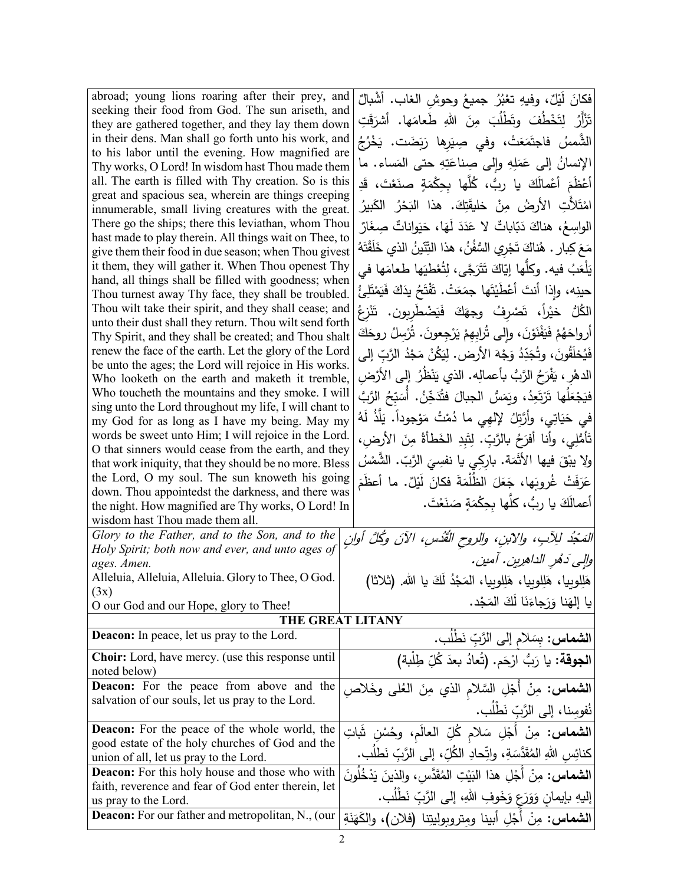| abroad; young lions roaring after their prey, and                                                                | فكانَ لَيْلٌ، وفيهِ تعْبُرُ جميعُ وحوش الغاب. أشْبالٌ                      |
|------------------------------------------------------------------------------------------------------------------|----------------------------------------------------------------------------|
| seeking their food from God. The sun ariseth, and                                                                | تَزْأَرُ   لِتَخْطُفَ   وتَطْلُبَ   مِنَ   اللهِ   طَعامَها.   أشرَقَتِ    |
| they are gathered together, and they lay them down                                                               |                                                                            |
| in their dens. Man shall go forth unto his work, and<br>to his labor until the evening. How magnified are        | الشَّمسُ فاجتَمَعَتْ، وفي صِيَرها رَبَضَت. يَخْرُجُ                        |
| Thy works, O Lord! In wisdom hast Thou made them                                                                 | الإنسانُ إلى عَمَلِهِ وإلى صِناعَتِهِ حتى المَساء. ما                      |
| all. The earth is filled with Thy creation. So is this                                                           |                                                                            |
| great and spacious sea, wherein are things creeping                                                              | أَعْظَمَ أَعْمالَكَ يا ربُّ، كُلَّها بحِكْمَةٍ صنَعْتَ، قَدِ               |
| innumerable, small living creatures with the great.                                                              | امْتَلأْتِ الأَرضُ مِنْ خَليقَتِكَ. هذا البَحْرُ الكَبيرُ                  |
| There go the ships; there this leviathan, whom Thou                                                              | الواسِعُ، هناكَ دَبّاباتٌ لا عَدَدَ لَهَا، حَيَواناتٌ صِغَارٌ              |
| hast made to play therein. All things wait on Thee, to                                                           |                                                                            |
| give them their food in due season; when Thou givest                                                             | مَعَ كِبارٍ . هُناكَ تَجْرِي السُّفُنُ، هذا النِّتّينُ الذي خَلَقْتَهُ     |
| it them, they will gather it. When Thou openest Thy                                                              | يَلْعَبُ فيه. وكلَّها إيّاكَ تَتَرَجَّى، لِتُعْطِيَها طعامَها في           |
| hand, all things shall be filled with goodness; when                                                             | حينِه، وإذا أنتَ أَعْطَيْتَها جمَعَتْ. تَفْتَحُ يدَكَ فَيَمْتَلِئُ         |
| Thou turnest away Thy face, they shall be troubled.                                                              |                                                                            |
| Thou wilt take their spirit, and they shall cease; and                                                           | الكُلُّ خَيْراً، تَصْرِفُ وجهَكَ فَيَضْطَرِبون. تَنْزِعُ                   |
| unto their dust shall they return. Thou wilt send forth<br>Thy Spirit, and they shall be created; and Thou shalt | أرواحَهُمْ فَيَفْنَوْنَ، وإِلَى تُرابِهِمْ يَرْجِعونَ. تُرْسِلُ روحَكَ     |
| renew the face of the earth. Let the glory of the Lord                                                           |                                                                            |
| be unto the ages; the Lord will rejoice in His works.                                                            | فَيُخلَقُونَ، وتُجَدِّدُ وَجْهَ الأرض. لِيَكُنْ مَجْدُ الرَّبِّ إلى        |
| Who looketh on the earth and maketh it tremble,                                                                  | الدهْرِ ، يَفْرَحُ الرَّبُّ بأعمالِه. الذي يَنْظُرُ إلىي الأرْض            |
| Who toucheth the mountains and they smoke. I will                                                                | فيَجْعَلُها تَرْتَعِدُ، ويَمَسُّ الجبالَ فثُدَخِّنُ. أَسَبِّحُ الرَّبَّ    |
| sing unto the Lord throughout my life, I will chant to                                                           |                                                                            |
| my God for as long as I have my being. May my                                                                    | في حَيَاتِي، وأَرَّتِلُ لِإلهِي ما دُمْتُ مَوْجوداً. يَلَّذُ لَهُ          |
| words be sweet unto Him; I will rejoice in the Lord.                                                             | تَأْمُلِي، وأنا أفرَحُ بالرَّبِّ. لِتَبِدِ الخَطأةُ مِنَ الأرض،            |
| O that sinners would cease from the earth, and they                                                              | ولا يبْقَ فيها الأَثَمَة. بارِكِي يا نفسِيَ الرَّبِّ. الشَّمْسُ            |
| that work iniquity, that they should be no more. Bless                                                           |                                                                            |
| the Lord, O my soul. The sun knoweth his going                                                                   | عَرَفَتْ غُروبَها، جَعَلَ الظُّلْمَةَ فكانَ لَيْلٌ. ما أعظَمَ              |
| down. Thou appointedst the darkness, and there was<br>the night. How magnified are Thy works, O Lord! In         | أعمالَكَ يا ربُّ، كلَّها بحِكْمَةٍ صَنَعْتَ.                               |
| wisdom hast Thou made them all.                                                                                  |                                                                            |
| Glory to the Father, and to the Son, and to the                                                                  |                                                                            |
| Holy Spirit; both now and ever, and unto ages of                                                                 | المَجْدُ للِأَبِ، والآبنِ، والروحِ القُدُسِ، الآنَ وكُلَّ أُوانٍ           |
| ages. Amen.                                                                                                      | والِي دَهْرِ الداهِرِينِ. آمينِ.                                           |
| Alleluia, Alleluia, Alleluia. Glory to Thee, O God.                                                              | هَلِلوبِيا، هَلِلوبِيا، هَلِلوبِيا، المَجْدُ لَكَ يا الله. (ثلاثا)         |
| (3x)                                                                                                             |                                                                            |
| O our God and our Hope, glory to Thee!                                                                           | يا إلهَنا وَرَجاءَنَا لَكَ الْمَجْدِ.                                      |
|                                                                                                                  | THE GREAT LITANY                                                           |
| Deacon: In peace, let us pray to the Lord.                                                                       | ا <b>لشماس:</b> بِسَلام إلى الرَّبِّ نَطْلب.                               |
| <b>Choir:</b> Lord, have mercy. (use this response until                                                         | ا <b>لجوقة:</b> يا رَبُّ ارْحَمِ. (تُعادُ بعدَ كُلّ طِلْبة)                |
| noted below)                                                                                                     |                                                                            |
| <b>Deacon:</b> For the peace from above and the                                                                  | <b>الشماس:</b> مِنْ أَجْلِ السَّلام الذي مِنَ العُل <sub>ِّي</sub> وخَلاصِ |
| salvation of our souls, let us pray to the Lord.                                                                 |                                                                            |
|                                                                                                                  | نُفوسِنا، إلى الرَّبِّ نَطْلُب.                                            |
| <b>Deacon:</b> For the peace of the whole world, the                                                             | الشعاس: مِنْ أَجْلِ سَلامٍ كُلِّ العالَمِ، وحُسْنِ شَاتِ                   |
| good estate of the holy churches of God and the                                                                  | كنائِس اللهِ المُقَدَّسَةِ، واتِّحادِ الكُلِّ، إلى الرَّبِّ نَطلُبٍ.       |
| union of all, let us pray to the Lord.                                                                           |                                                                            |
| <b>Deacon:</b> For this holy house and those who with<br>faith, reverence and fear of God enter therein, let     | ا <b>لشماس:</b> مِنْ أَجْلِ هذا النَّيْتِ المُقَدَّس، والذينَ يَدْخُلُونَ  |
| us pray to the Lord.                                                                                             | إليهِ بإيمانٍ وَوَرَعٍ وَخَوفِ اللهِ، إلى الرَّبِّ نَطْلُبٍ.               |
| <b>Deacon:</b> For our father and metropolitan, N., (our                                                         | الشَّماس: مِنْ أَجْلِ أبينا ومتروبوليتِنا (فلان)، والكَهَنَةِ              |
|                                                                                                                  |                                                                            |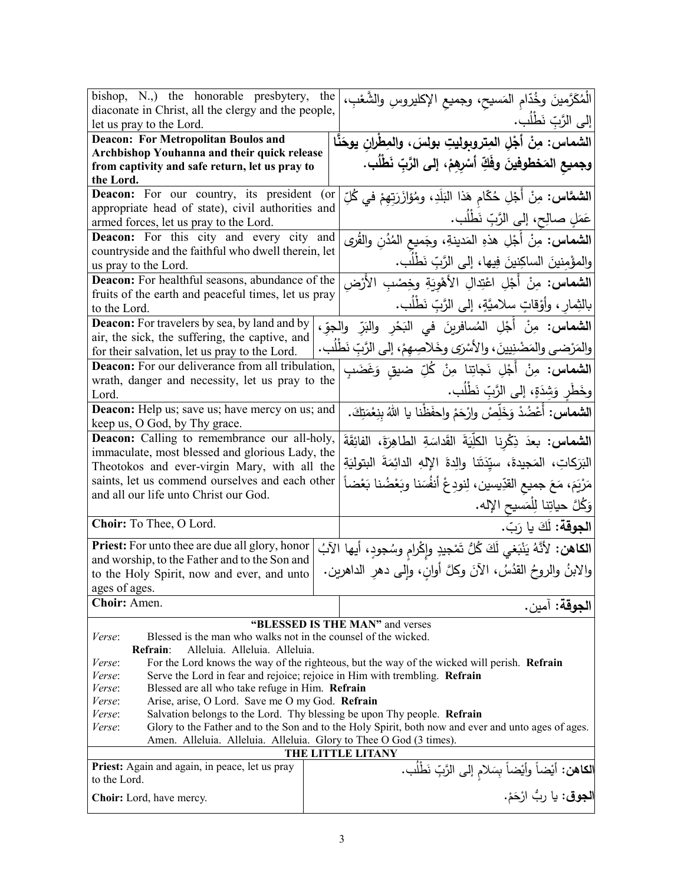| bishop, N.,) the honorable presbytery, the                                                                                   |     | الْمُكَرَّمينَ وخُدَّامِ المَسيح، وجميع الإكليروسِ والشَّعْبِ،                                      |
|------------------------------------------------------------------------------------------------------------------------------|-----|-----------------------------------------------------------------------------------------------------|
| diaconate in Christ, all the clergy and the people,                                                                          |     | إلى الرَّبِّ نَطْلُب.                                                                               |
| let us pray to the Lord.<br><b>Deacon: For Metropolitan Boulos and</b>                                                       |     |                                                                                                     |
| Archbishop Youhanna and their quick release                                                                                  |     | الشماس: مِنْ أَجْلِ المِتروبوليتِ بولسَ، والمِطْرانِ يوحَنَّا                                       |
| from captivity and safe return, let us pray to                                                                               |     | وجميع المَخطوفينَ وفَكِّ أَسْرِهِمْ، إلى الرَّبِّ نَطْلُب.                                          |
| the Lord.                                                                                                                    |     |                                                                                                     |
| Deacon: For our country, its president                                                                                       | (or | ِ ا <b>لشَّمَّاس:</b> مِنْ أَجْلِ حُكَّام هَذا النَلَدِ، ومُؤازَرَتِهِمْ في كُلِّ                   |
| appropriate head of state), civil authorities and                                                                            |     | عَمَلِ صالِحٍ، إلى الرَّبِّ نَطْلُبٍ.                                                               |
| armed forces, let us pray to the Lord.<br>Deacon: For this city and every city and                                           |     |                                                                                                     |
| countryside and the faithful who dwell therein, let                                                                          |     | <b>الشماس:</b> مِنْ أَجْلِ هذهِ المَدينةِ، وجَميع المُدُن والقُرى                                   |
| us pray to the Lord.                                                                                                         |     | والمؤْمنينَ الساكِنينَ فِيها، إلى الرَّبِّ نَطْلُب.                                                 |
| Deacon: For healthful seasons, abundance of the                                                                              |     | <b>الشماس:</b> مِنْ أَجْلِ اعْتِدالِ الأَهْوِيَةِ وخِصْبِ الأَرْض                                   |
| fruits of the earth and peaceful times, let us pray                                                                          |     |                                                                                                     |
| to the Lord.                                                                                                                 |     | بالثِمارِ ، وأَوْقاتٍ سلاميَّةٍ، إلى الرَّبِّ نَطْلُبٍ.                                             |
| <b>Deacon:</b> For travelers by sea, by land and by<br>air, the sick, the suffering, the captive, and                        |     | ا <b>لشماس:</b> مِنْ أَجْلِ المُسافرينَ في النَحْرِ والنَرِّ والحقِّ،                               |
| for their salvation, let us pray to the Lord.                                                                                |     | والمَرْضـى والمَضْنِيينَ، والأَسْرَى وخَلاصِهِمْ، إلى الرَّبِّ نَطْلُب.                             |
| <b>Deacon:</b> For our deliverance from all tribulation,                                                                     |     | <b>الشماس:</b> مِنْ أَجْلِ نَجاتِنا مِنْ كُلِّ ضيق وَغَضَبِ                                         |
| wrath, danger and necessity, let us pray to the                                                                              |     |                                                                                                     |
| Lord.                                                                                                                        |     | وخَطَرٍ وَشِدَةٍ، إلى الرَّبِّ نَطْلُب.                                                             |
| <b>Deacon:</b> Help us; save us; have mercy on us; and<br>keep us, O God, by Thy grace.                                      |     | <b>الشماس:</b> أَعْضُدْ وَخَلِّصْ وارْحَمْ واحفَظْنا يا اللهُ بِنِعْمَتِكَ.                         |
| Deacon: Calling to remembrance our all-holy,                                                                                 |     | ا <b>لشماس:</b> بعدَ ذِكْرِنا الكلِّيَةَ القَداسَةِ الطاهِرَةَ، الفائِقَةَ                          |
| immaculate, most blessed and glorious Lady, the                                                                              |     | البَرَكاتِ، المَجيدةَ، سيّدَتَنا والِدةَ الإِلهِ الدائِمَةَ البتوليَةِ                              |
| Theotokos and ever-virgin Mary, with all the                                                                                 |     |                                                                                                     |
| saints, let us commend ourselves and each other<br>and all our life unto Christ our God.                                     |     | مَرْيَمَ، مَعَ جميع القدِّيسين، لِنودِعْ أَنفُسَنا وبَعْضُنا بَعْضاً                                |
|                                                                                                                              |     | وَكُلَّ حياتِنا لِلْمَسيحِ الإِله.                                                                  |
| Choir: To Thee, O Lord.                                                                                                      |     | الجوقة: لَكَ يا رَبّ.                                                                               |
| Priest: For unto thee are due all glory, honor                                                                               |     | ا <b>لكاهن:</b> لأنَّهُ يَنْبَغي لَكَ كُلُّ تَمْجيدٍ وإِكْرامِ وسُجودٍ، أيها الآبُ                  |
| and worship, to the Father and to the Son and                                                                                |     | والابنُ والروحُ القدُسُ، الأنَ وكلَّ أوانِ، وإلى دهرِ الداهرين.                                     |
| to the Holy Spirit, now and ever, and unto                                                                                   |     |                                                                                                     |
| ages of ages.<br>Choir: Amen.                                                                                                |     |                                                                                                     |
|                                                                                                                              |     | ا <b>لجوقة:</b> أمين.                                                                               |
|                                                                                                                              |     | "BLESSED IS THE MAN" and verses                                                                     |
| Blessed is the man who walks not in the counsel of the wicked.<br>Verse:<br>Alleluia. Alleluia. Alleluia.<br><b>Refrain:</b> |     |                                                                                                     |
| Verse:                                                                                                                       |     | For the Lord knows the way of the righteous, but the way of the wicked will perish. Refrain         |
| Serve the Lord in fear and rejoice; rejoice in Him with trembling. Refrain<br>Verse:                                         |     |                                                                                                     |
| Blessed are all who take refuge in Him. Refrain<br>Verse:                                                                    |     |                                                                                                     |
| Arise, arise, O Lord. Save me O my God. Refrain<br>Verse:                                                                    |     |                                                                                                     |
| Salvation belongs to the Lord. Thy blessing be upon Thy people. Refrain<br><i>Verse:</i>                                     |     |                                                                                                     |
| <i>Verse:</i>                                                                                                                |     | Glory to the Father and to the Son and to the Holy Spirit, both now and ever and unto ages of ages. |
| Amen. Alleluia. Alleluia. Alleluia. Glory to Thee O God (3 times).                                                           |     | THE LITTLE LITANY                                                                                   |
| Priest: Again and again, in peace, let us pray                                                                               |     |                                                                                                     |
| to the Lord.                                                                                                                 |     |                                                                                                     |
| Choir: Lord, have mercy.                                                                                                     |     | <b>الكاهن:</b> أيْضاً وأَيْضاً بِسَلامٍ إلى الرَّبِّ نَطْلُب.<br><b>الجوق</b> : يا ربُّ ارْحَمْ.    |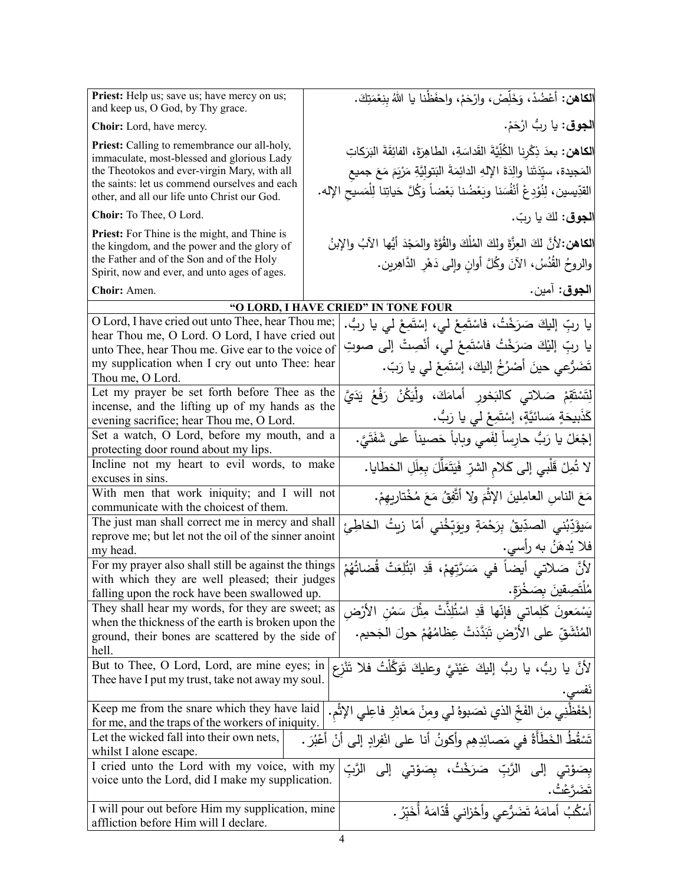| Priest: Help us; save us; have mercy on us;<br>and keep us, O God, by Thy grace.                                                                                                                                                            |            | الكاهن: أعْضُدْ، وَخَلِّصْ، وارْحَمْ، واحفَظْنا يا اللهُ بِنِعْمَتِكَ.                                                                                                                                                                                          |
|---------------------------------------------------------------------------------------------------------------------------------------------------------------------------------------------------------------------------------------------|------------|-----------------------------------------------------------------------------------------------------------------------------------------------------------------------------------------------------------------------------------------------------------------|
| Choir: Lord, have mercy.                                                                                                                                                                                                                    |            | ا <b>لجوق</b> : يا ربُّ ارْحَمْ.                                                                                                                                                                                                                                |
| Priest: Calling to remembrance our all-holy,<br>immaculate, most-blessed and glorious Lady<br>the Theotokos and ever-virgin Mary, with all<br>the saints: let us commend ourselves and each<br>other, and all our life unto Christ our God. |            | الكاهن: بعدَ ذِكْرِنا الكُلِّيَّةَ القَداسَةِ، الطاهِرَةَ، الفائِقَةَ البَرَكاتِ<br>المَجيدة، سيِّدَتَنا والِدَةَ الإِلهِ الدائِمَةَ البَتولِيَّةِ مَرْيَمَ مَعَ جميع<br>القدِّيسين، لِنُوْدِعْ أَنْفُسَنا وبَعْضُنا بَعْضاً وَكُلَّ حَياتِنا لِلْمَسيحِ الإله. |
| Choir: To Thee, O Lord.                                                                                                                                                                                                                     |            | الجوق: لكَ يا ربّ.                                                                                                                                                                                                                                              |
| Priest: For Thine is the might, and Thine is<br>the kingdom, and the power and the glory of<br>the Father and of the Son and of the Holy<br>Spirit, now and ever, and unto ages of ages.                                                    |            | الكاهن: لأنَّ لكَ العِزَّةَ ولكَ المُلْكَ والقُوَّةَ والمَجْدَ أَيُّها الآبُ والإبنُ<br>والروحُ القُدُسُ، الآنَ وكُلَّ أوانٍ وإلى دَهْرِ الدَّاهِرين.                                                                                                           |
| Choir: Amen.                                                                                                                                                                                                                                |            | الجوق: آمين.                                                                                                                                                                                                                                                    |
|                                                                                                                                                                                                                                             |            | "O LORD, I HAVE CRIED" IN TONE FOUR                                                                                                                                                                                                                             |
| O Lord, I have cried out unto Thee, hear Thou me;                                                                                                                                                                                           |            | يا ربِّ إليكَ صَرَخْتُ، فاسْتَمِعْ لي، إسْتَمِعْ لي يا ربُّ.                                                                                                                                                                                                    |
| hear Thou me, O Lord. O Lord, I have cried out                                                                                                                                                                                              |            |                                                                                                                                                                                                                                                                 |
| unto Thee, hear Thou me. Give ear to the voice of                                                                                                                                                                                           |            | يا ربِّ إليْكَ صَرَخْتُ فاسْتَمِعْ لي، أنْصِتْ إلى صوتِ                                                                                                                                                                                                         |
| my supplication when I cry out unto Thee: hear                                                                                                                                                                                              |            | تَضَرُّعي حينَ أَصْرُخُ إِليكَ، إِسْتَمِعْ لَي يا رَبِّ.                                                                                                                                                                                                        |
| Thou me, O Lord.                                                                                                                                                                                                                            |            |                                                                                                                                                                                                                                                                 |
| Let my prayer be set forth before Thee as the                                                                                                                                                                                               |            | لِتَسْتَقِمْ صَلاتى كالبَخور أمامَكَ، ولْيَكُنْ رَفْعُ يَدَيَّ                                                                                                                                                                                                  |
| incense, and the lifting up of my hands as the<br>evening sacrifice; hear Thou me, O Lord.                                                                                                                                                  |            | كَذَبِيحَةٍ مَسائيَّةٍ، إسْتَمِعْ لي يا رَبُّ.                                                                                                                                                                                                                  |
| Set a watch, O Lord, before my mouth, and a                                                                                                                                                                                                 |            |                                                                                                                                                                                                                                                                 |
| protecting door round about my lips.                                                                                                                                                                                                        |            | إجْعَلْ يا رَبُّ حارِساً لِفَمي وباباً حَصيناً على شَفَتَيِّ.                                                                                                                                                                                                   |
| Incline not my heart to evil words, to make                                                                                                                                                                                                 |            | لا تُمِلْ قَلْبِي إلى كَلام الشرِّ فَيَتَعَلَّلَ بِعِلَلِ الخطايا.                                                                                                                                                                                              |
| excuses in sins.                                                                                                                                                                                                                            |            |                                                                                                                                                                                                                                                                 |
| With men that work iniquity; and I will not                                                                                                                                                                                                 |            | مَعَ الناسِ العامِلِينَ الإِثْمَ ولا أَنَّفِقُ مَعَ مُخْتارِيهِمْ.                                                                                                                                                                                              |
| communicate with the choicest of them.                                                                                                                                                                                                      |            |                                                                                                                                                                                                                                                                 |
| The just man shall correct me in mercy and shall                                                                                                                                                                                            |            | سَيؤَدِّبُني الصدِّيقُ بِرَحْمَةٍ ويوَبِّخُني أمّا زيتُ الخاطِئِ                                                                                                                                                                                                |
| reprove me; but let not the oil of the sinner anoint                                                                                                                                                                                        |            | فلا يُدهَنُ به رأسي.                                                                                                                                                                                                                                            |
| my head.                                                                                                                                                                                                                                    |            |                                                                                                                                                                                                                                                                 |
| For my prayer also shall still be against the things                                                                                                                                                                                        |            | لأَنَّ صَلاتي أيضاً في مَسَرَّتِهِمْ، قَدِ ابْتُلِعَتْ قُضاتُهُمْ                                                                                                                                                                                               |
| with which they are well pleased; their judges<br>falling upon the rock have been swallowed up.                                                                                                                                             |            | مُلْتَصِقِينَ بِصَخْرَةٍ.                                                                                                                                                                                                                                       |
| They shall hear my words, for they are sweet; as                                                                                                                                                                                            |            |                                                                                                                                                                                                                                                                 |
| when the thickness of the earth is broken upon the                                                                                                                                                                                          |            | يَسْمَعونَ كَلِماتي فإنّها قَدِ اسْتُلِذّتْ مِثْلَ سَمْنِ الأَرْضِ                                                                                                                                                                                              |
| ground, their bones are scattered by the side of                                                                                                                                                                                            |            | المُنْشَقّ على الأرْض تَبَدَّدَتْ عِظامُهُمْ حولَ الجَحيم.                                                                                                                                                                                                      |
| hell.                                                                                                                                                                                                                                       |            |                                                                                                                                                                                                                                                                 |
| But to Thee, O Lord, Lord, are mine eyes; in                                                                                                                                                                                                |            | لأنَّ يا ربُّ، يا ربُّ إليكَ عَيْنَيَّ وعليكَ تَوَكَّلْتُ فلا تَنْزِع                                                                                                                                                                                           |
| Thee have I put my trust, take not away my soul.                                                                                                                                                                                            |            |                                                                                                                                                                                                                                                                 |
|                                                                                                                                                                                                                                             |            |                                                                                                                                                                                                                                                                 |
| Keep me from the snare which they have laid                                                                                                                                                                                                 |            |                                                                                                                                                                                                                                                                 |
| for me, and the traps of the workers of iniquity.                                                                                                                                                                                           |            | نفسي.<br>إِحْفَظْنِي مِنَ الفَخِّ الذي نَصَبوهُ لي ومِنْ مَعاثِرِ فاعِلي الإثْمِ.<br>إِحْفَظْنِي مِنَ الفَخِّ الذي نَصَبوهُ لي ومِنْ مَعاثِرِ فاعِلي الإثْمِ.                                                                                                   |
| Let the wicked fall into their own nets,                                                                                                                                                                                                    | أَعْبُرَ . | تَسْقُطُ الخَطَأَةُ في مَصائِدِهِم وأكونُ أنا على انْفِرادٍ إلى أنْ                                                                                                                                                                                             |
| whilst I alone escape.                                                                                                                                                                                                                      |            |                                                                                                                                                                                                                                                                 |
| I cried unto the Lord with my voice, with my<br>voice unto the Lord, did I make my supplication.                                                                                                                                            |            | بِصَوْتي إِلى الرَّبِّ صَرَخْتُ، بِصَوْتى<br>الرَّبِّ                                                                                                                                                                                                           |
|                                                                                                                                                                                                                                             |            | تَضَرَّعْتُ.                                                                                                                                                                                                                                                    |
| I will pour out before Him my supplication, mine                                                                                                                                                                                            |            | أَسْكُبُ أَمامَهُ تَضَرُّعى وأَحْزانى قُدّامَهُ أَخَبّرُ .                                                                                                                                                                                                      |
| affliction before Him will I declare.                                                                                                                                                                                                       |            |                                                                                                                                                                                                                                                                 |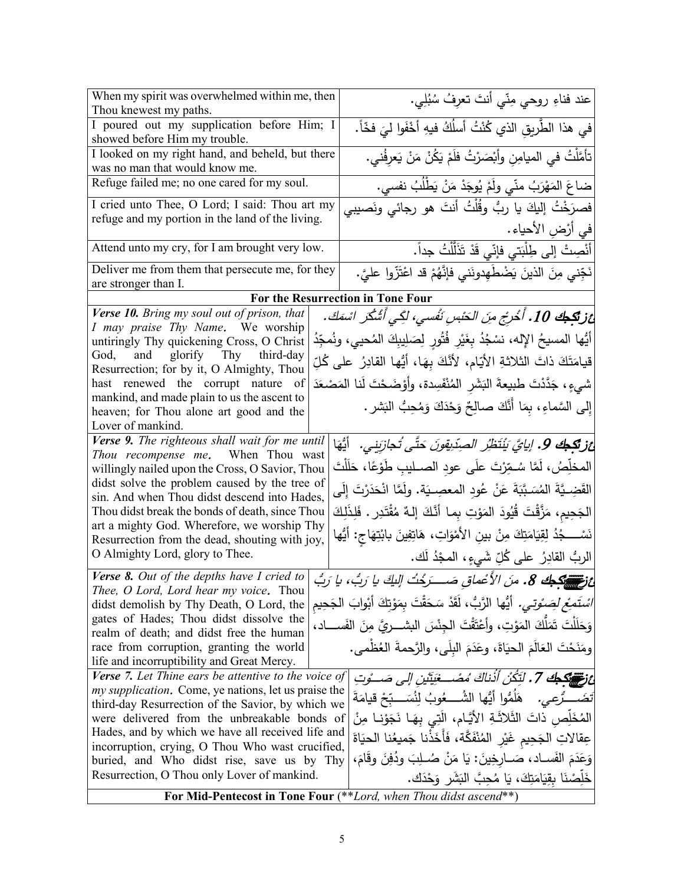| When my spirit was overwhelmed within me, then                                                    | عند فناءِ روحي مِنّي أنتَ تعرِفُ سُبُلِي.                                                  |
|---------------------------------------------------------------------------------------------------|--------------------------------------------------------------------------------------------|
| Thou knewest my paths.                                                                            |                                                                                            |
| I poured out my supplication before Him; I                                                        | في هذا الطَّريق الذي كُنْتُ أسلُكُ فيهِ أخْفَوا ليَ فخّاً.                                 |
| showed before Him my trouble.                                                                     |                                                                                            |
| I looked on my right hand, and beheld, but there<br>was no man that would know me.                | تأمَّلْتُ في الميامِنِ وأَبْصَرْتُ فلَمْ يَكُنْ مَنْ يَعِرِفُني.                           |
| Refuge failed me; no one cared for my soul.                                                       | ضاعَ المَهْرَبُ منّي ولَمْ يُوجَدْ مَنْ يَطْلُبُ نفسي.                                     |
| I cried unto Thee, O Lord; I said: Thou art my                                                    | فصرَخْتُ إليكَ يا ربُّ وقُلْتُ أنتَ هو رجائي ونَصيبي                                       |
| refuge and my portion in the land of the living.                                                  | في أرْضِ الأحياء.                                                                          |
| Attend unto my cry, for I am brought very low.                                                    | أَنْصِتْ إلى طِلْبَتي فَإِنّي قَدْ تَذَلَّلْتُ جداً.                                       |
| Deliver me from them that persecute me, for they<br>are stronger than I.                          | نَجِّني مِنَ الذينَ يَضْطَهِدونَني فإنَّهُمْ قد اعْتَزُّوا عليَّ.                          |
|                                                                                                   | For the Resurrection in Tone Four                                                          |
| Verse 10. Bring my soul out of prison, that                                                       |                                                                                            |
| I may praise Thy Name. We worship                                                                 | عْ زِنْكِجْكَ 10. أُخْرِجْ مِنَ الْحَبْسِ نَفْسى، لِكَي أُشْكُر اسْمَكَ .                  |
| untiringly Thy quickening Cross, O Christ                                                         | أَيُّها المسيحُ الإِله، نسْجُدُ بِغَيْرِ فُتُورِ لِصَلِيبِكَ المُحيي، ونُمجِّدُ            |
| God, and glorify Thy third-day<br>Resurrection; for by it, O Almighty, Thou                       | قيامَتَكَ ذاتَ الثلاثةِ الأيّامِ، لأَنَّكَ بِهَا، أَيُّها القادِرُ  على كُلِّ              |
| hast renewed the corrupt nature of                                                                | شيءٍ، جَدَّدْتَ طبيعةَ البَشَرِ المُنْفَسِدة، وأوْضَحْتَ لَنا المَصْعَدَ                   |
| mankind, and made plain to us the ascent to<br>heaven; for Thou alone art good and the            | إِلَى السَّماءِ ، بِمَا أَنَّكَ صالِحٌ وَحْذَكَ وَمُحِبُّ البَشرِ .                        |
| Lover of mankind.                                                                                 |                                                                                            |
| Verse 9. The righteous shall wait for me until                                                    | <i>عز تَكِجُ 9. إيايَّ يَنْتَظِرُ الصِدِّيقونَ</i> حَتَّ <i>ى تُجازَينِي.</i> أَيُّهَا     |
| Thou recompense me. When Thou wast                                                                |                                                                                            |
| willingly nailed upon the Cross, O Savior, Thou<br>didst solve the problem caused by the tree of  | المخلِّصُ، لَمَّا سُمِّرْتَ علَى عودِ الصـليبِ طَوْعًا، حَلَلْتَ                           |
| sin. And when Thou didst descend into Hades,                                                      | القَضِـيَّةَ المُسَـبَّبَةَ عَنْ عُودِ المعصِـيَة. ولَمَّا انْحَدَرْتَ إِلَى               |
| Thou didst break the bonds of death, since Thou                                                   | الجَحِيم، مَزَّقْتَ قُيُودَ المَوْتِ بِما أَنَّكَ إِلـهٌ مُقْتَدِرٍ . فَلِذَلِكَ           |
| art a mighty God. Wherefore, we worship Thy<br>Resurrection from the dead, shouting with joy,     | نَسْــــجُدُ لِقِيَامَتِكَ مِنْ بينِ الأَمْوَاتِ، هَاتِفِينَ بابْتِهَاجِ: أَيُّها          |
| O Almighty Lord, glory to Thee.                                                                   | الربُّ القادِرُ  على كُلِّ شَيءٍ، المجْدُ لَك.                                             |
| Verse 8. Out of the depths have I cried to                                                        | غ في السَّمَاعِيَّةِ 8. منَ الأعماق صَــــرَجْتُ اللَّكَ يا رَبُّ، يا رَبُّ                |
| Thee, O Lord, Lord hear my voice. Thou<br>didst demolish by Thy Death, O Lord, the                | <i>اسْتَمِعْ لِصَوْتِي.</i> أَيُّها الرَّبُّ، لَقَدْ سَحَقْتَ بِمَوْتِكَ أَبْوابَ الجَحِيم |
| gates of Hades; Thou didst dissolve the                                                           | وَحَلَلْتَ تَمَلَّكَ المَوْتِ، وأَعْتَقْتَ الْجِنْسَ البشـــرِيَّ مِنَ الفَســـاد،         |
| realm of death; and didst free the human                                                          |                                                                                            |
| race from corruption, granting the world<br>life and incorruptibility and Great Mercy.            | ومَنَحْتَ العَالَمَ الحيَاةَ، وعَدَمَ البلِّي، والرَّحمةَ العُظْمي.                        |
| Verse 7. Let Thine ears be attentive to the voice of                                              | عْ نَقِيَّتُهَا 7. لِتَكُنْ أَذْناكَ مُصْـــغِيَتْين إلى صَـــُوتِ                         |
| <i>my supplication.</i> Come, ye nations, let us praise the                                       | تَضَـــــرَّعــى.     هَلُمُّوا أَيُّها الشُــــــعُوبُ لِنُسَــــبّحْ قيامَةَ             |
| third-day Resurrection of the Savior, by which we<br>were delivered from the unbreakable bonds of | المُخَلِّص ذاتَ الثَّلاثَـةِ الأَيَّـامِ، الَّتِي بِهَـا نَجَوْنـا مِنْ                    |
| Hades, and by which we have all received life and                                                 | عِقالاتِ الجَحِيمِ غَيْرِ المُنْفَكَّة، فَأَخَذْنا جَميعُنا الحيَاةَ                       |
| incorruption, crying, O Thou Who wast crucified,                                                  |                                                                                            |
| buried, and Who didst rise, save us by Thy<br>Resurrection, O Thou only Lover of mankind.         | وَعَدَمَ الفَســاد، صَــارخِينَ: يَا مَنْ صُــلِبَ وِدُفِنَ وقَامَ،                        |
|                                                                                                   | خَلِّصْنَا بِقِيَامَتِكَ، يَا مُحِبَّ الْبَشَرِ وَحْدَك.                                   |
|                                                                                                   | For Mid-Pentecost in Tone Four (**Lord, when Thou didst ascend**)                          |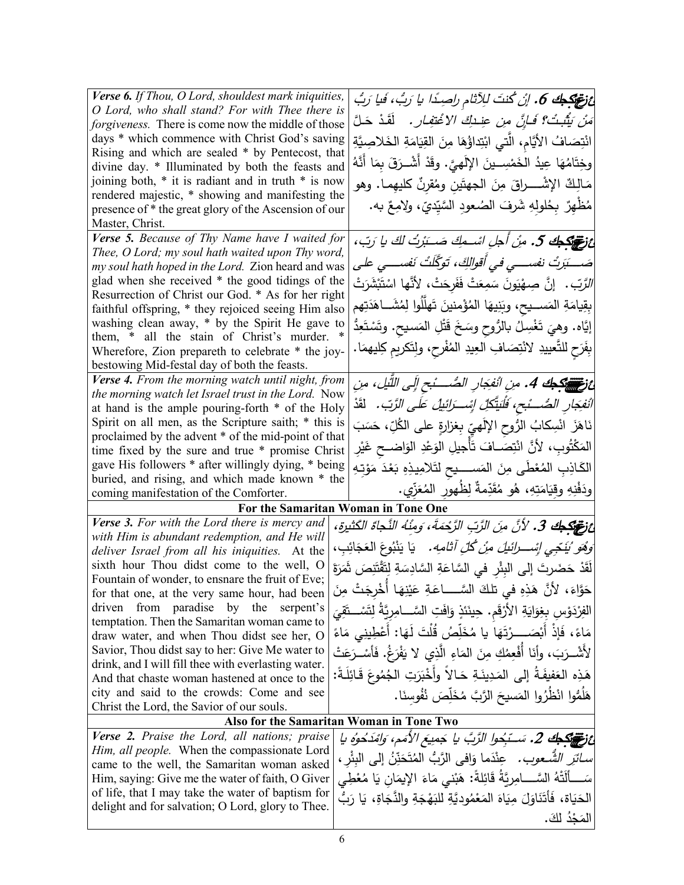| Verse 6. If Thou, O Lord, shouldest mark iniquities,<br>O Lord, who shall stand? For with Thee there is<br><i>forgiveness.</i> There is come now the middle of those<br>days * which commence with Christ God's saving<br>Rising and which are sealed * by Pentecost, that<br>divine day. * Illuminated by both the feasts and<br>joining both, * it is radiant and in truth * is now<br>rendered majestic, * showing and manifesting the<br>presence of * the great glory of the Ascension of our<br>Master, Christ.                                                                                                                                                                                                                                                                                                                                                                                                                                                     | ا <b>ِ زَقِيَّكِهِكَ 6.</b> إِنْ كُنتَ لِلِآَتَامِ راصِدًا يا رَبُّ، فَيا رَبُّ<br>مَ <i>نْ يَثْبُتْ؟ فَإِنَّ مِن عِندِكَ الا</i> غْت <i>فِارِ.</i> لَقَدْ حَلَّ<br>انْتِصَافُ الأَيَّامِ، الَّتِي ابْتِداؤُهَا مِنَ الْقِيَامَةِ الخَلاصِيَّةِ<br>وخِتَامُهَا عِيدُ الخَمْسِـــينَ الإِلَهـيَّ. وقَدْ أَشْــرَقَ بِمَا أَنَّهُ<br>مَالِكٌ الإشْـــــــراقَ مِنَ الـجهتَينِ ومُقرِنٌ كليهِمــا. وهو<br>مُظْهِرٌ بِخُلُولِهِ شَرْفَ الصُعُودِ السَّيِّديِّ، ولامِعٌ به.                                                                                                                                                                                                                                                                                                                                                                                                         |
|---------------------------------------------------------------------------------------------------------------------------------------------------------------------------------------------------------------------------------------------------------------------------------------------------------------------------------------------------------------------------------------------------------------------------------------------------------------------------------------------------------------------------------------------------------------------------------------------------------------------------------------------------------------------------------------------------------------------------------------------------------------------------------------------------------------------------------------------------------------------------------------------------------------------------------------------------------------------------|--------------------------------------------------------------------------------------------------------------------------------------------------------------------------------------------------------------------------------------------------------------------------------------------------------------------------------------------------------------------------------------------------------------------------------------------------------------------------------------------------------------------------------------------------------------------------------------------------------------------------------------------------------------------------------------------------------------------------------------------------------------------------------------------------------------------------------------------------------------------------------|
| Verse 5. Because of Thy Name have I waited for<br>Thee, O Lord; my soul hath waited upon Thy word,<br>my soul hath hoped in the Lord. Zion heard and was<br>glad when she received * the good tidings of the<br>Resurrection of Christ our God. * As for her right<br>faithful offspring, * they rejoiced seeing Him also<br>washing clean away, * by the Spirit He gave to<br>them, * all the stain of Christ's murder.<br>Wherefore, Zion prepareth to celebrate * the joy-<br>bestowing Mid-festal day of both the feasts.<br>Verse 4. From the morning watch until night, from<br>the morning watch let Israel trust in the Lord. Now<br>at hand is the ample pouring-forth * of the Holy<br>Spirit on all men, as the Scripture saith; * this is<br>proclaimed by the advent * of the mid-point of that<br>time fixed by the sure and true * promise Christ<br>gave His followers * after willingly dying, * being<br>buried, and rising, and which made known * the | عْ فَ <del>يُّهَا كِمَاءَ</del> كَـ مِنْ أَجْلِ اسْــمِكَ صَــتَرْتُ لَكَ يا رَبِّ،<br>صَــــنَرتُ نفســــي فـي أقوالكَ، تَوَكَّلَتْ نَفســــي علـي<br><i>الرَّبّ.</i> إنَّ صِهْيَونَ سَمِعَتْ فَفَرِحَتْ، لأنَّها اسْتَبْشَرَتْ<br>بِقِيامَةِ المَســيح، وبَنِيهَا المُؤْمِنينَ تَهلَّلُوا لِمُشَـــاهَدَتِهم<br>إِيَّاه. وهيَ تَغْسِلُ بالرُّوحِ وسَخَ قَتْلِ المَسيحِ. وتَسْتَعِدُّ<br>بِفَرَحِ للتَّعييدِ لانْتِصَافِ العِيدِ المُفْرحِ، ولِتَكريمِ كِليهمَا.<br>عْ فَ <del>ِ الْمَسْكَمِكَ</del> 4. مِنِ انْفِجَارِ الصَّـــْبْحِ الْمِي اللَّٰيلِ، مِنِ<br>انْفِجَارِ الصَّــْبِحِ، فَلَنَيَّكَلِّ إِسْــَرائِيلُ عَلَى الرَّبِّ.   لَقَدْ<br>نَاهَزَ انْسِكابُ الرُّوحِ الإِلَهيِّ بِغزارةٍ على الكُلِّ، حَسَبَ<br>المَكْتُوبِ، لأنَّ انْتِصَــافَ تَأْجيلِ الوَعْدِ الوَاضــح غَيْرِ<br>الْكَاذِبِ الْمُعْطَى مِنَ الْمَسْسِيحِ لِتَلاْمِيذِهِ بَعْدَ مَوْتِهِ         |
| coming manifestation of the Comforter.                                                                                                                                                                                                                                                                                                                                                                                                                                                                                                                                                                                                                                                                                                                                                                                                                                                                                                                                    | ودَفْنِهِ وقِيَامَتِهِ، هُو مُقَدِّمةٌ لِظُهورِ المُعَزِّي.                                                                                                                                                                                                                                                                                                                                                                                                                                                                                                                                                                                                                                                                                                                                                                                                                    |
|                                                                                                                                                                                                                                                                                                                                                                                                                                                                                                                                                                                                                                                                                                                                                                                                                                                                                                                                                                           | For the Samaritan Woman in Tone One                                                                                                                                                                                                                                                                                                                                                                                                                                                                                                                                                                                                                                                                                                                                                                                                                                            |
| Verse 3. For with the Lord there is mercy and<br>with Him is abundant redemption, and He will<br>deliver Israel from all his iniquities. At the<br>sixth hour Thou didst come to the well, O<br>Fountain of wonder, to ensnare the fruit of Eve;<br>for that one, at the very same hour, had been<br>from paradise by the<br>driven<br>serpent's<br>temptation. Then the Samaritan woman came to<br>draw water, and when Thou didst see her, O<br>Savior, Thou didst say to her: Give Me water to<br>drink, and I will fill thee with everlasting water.<br>And that chaste woman hastened at once to the<br>city and said to the crowds: Come and see<br>Christ the Lord, the Savior of our souls.<br>Verse 2. Praise the Lord, all nations; praise                                                                                                                                                                                                                      | عْ فَصَحْكَ 3. لأنَّ مِنَ الرَّبِّ الرَّحْمَةَ، وَمِنْهُ النَّجاةَ الكَثيرةِ،<br>َوَ <i>هُوَ يُنَجِّي إِسْـــرائيلَ مِنْ كُلِّ آثامِهِ.</i> يَا يَنْبُوعَ الْعَجَائِبِ،<br>لَقَدْ حَضَرتَ إلى البِئْرِ في السَّاعَةِ السَّادِسَةِ لِتَقْتَنِصَ شَرَةَ<br>حَوَّاءَ، لأَنَّ هَذِهِ في تلَّكَ السَّــــاعَةِ عَيْنِهَا أُخْرِجَتْ مِنَ<br>الفِرْدَوْسِ بِغِوَايَةِ الأَرْقَمِ. حِينَئذٍ وَافَتِ السَّــامِرِيَّةُ لِتَسْــتَقِيَ<br>مَاءً، فَإِذْ أَبْصَــــرْتَهَا يا مُخَلِّصُ قُلْتَ لَهَا: أَعْطِينِي مَاءً<br>لأَشْــرَبَ، وأَنَا أَفْعِمُكِ مِنَ المَاءِ الَّذِي لا يَفْرَغُ. فَأَسْــرَعَتْ<br>هَذِه العَفيفَةُ إلى المَدِينَـةِ حَـالاً وأَخْبَرَتِ الْجُمُوعَ قَـائِلَـةً:<br>هَلُمُّوا انْظُرُوا المَسيحَ الرَّبَّ مُخَلِّصَ نُفُوسنَا.<br>Also for the Samaritan Woman in Tone Two<br>عْ نَقِيَّكُمْ فَمَسْ يَسْتَبْحُوا الرَّبَّ يا جَمِيعَ الأَمَمِ، وَامْدَحُوهُ يا |
| Him, all people. When the compassionate Lord                                                                                                                                                                                                                                                                                                                                                                                                                                                                                                                                                                                                                                                                                                                                                                                                                                                                                                                              |                                                                                                                                                                                                                                                                                                                                                                                                                                                                                                                                                                                                                                                                                                                                                                                                                                                                                |
| came to the well, the Samaritan woman asked                                                                                                                                                                                                                                                                                                                                                                                                                                                                                                                                                                                                                                                                                                                                                                                                                                                                                                                               | <i>سائِرِ الشَّعوب.</i> عِنْدَما وَافي الرَّبُّ المُتَحَنِّنُ إلى البئْرِ ،                                                                                                                                                                                                                                                                                                                                                                                                                                                                                                                                                                                                                                                                                                                                                                                                    |
| Him, saying: Give me the water of faith, O Giver                                                                                                                                                                                                                                                                                                                                                                                                                                                                                                                                                                                                                                                                                                                                                                                                                                                                                                                          | سَـــأَلَتْهُ السَّــــامِرِيَّةُ قَائِلةً: هَبْنـى مَاءَ الإِيمَانِ يَا مُعْطِي                                                                                                                                                                                                                                                                                                                                                                                                                                                                                                                                                                                                                                                                                                                                                                                               |
| of life, that I may take the water of baptism for<br>delight and for salvation; O Lord, glory to Thee.                                                                                                                                                                                                                                                                                                                                                                                                                                                                                                                                                                                                                                                                                                                                                                                                                                                                    | الْحَيَاة، فَأَتَنَاوَلَ مِيَاهَ الْمَعْمُودِيَّةِ لِلبَهْجَةِ والنَّجَاةِ، يَا رَبُّ                                                                                                                                                                                                                                                                                                                                                                                                                                                                                                                                                                                                                                                                                                                                                                                          |
|                                                                                                                                                                                                                                                                                                                                                                                                                                                                                                                                                                                                                                                                                                                                                                                                                                                                                                                                                                           | المَجْدُ لكَ.                                                                                                                                                                                                                                                                                                                                                                                                                                                                                                                                                                                                                                                                                                                                                                                                                                                                  |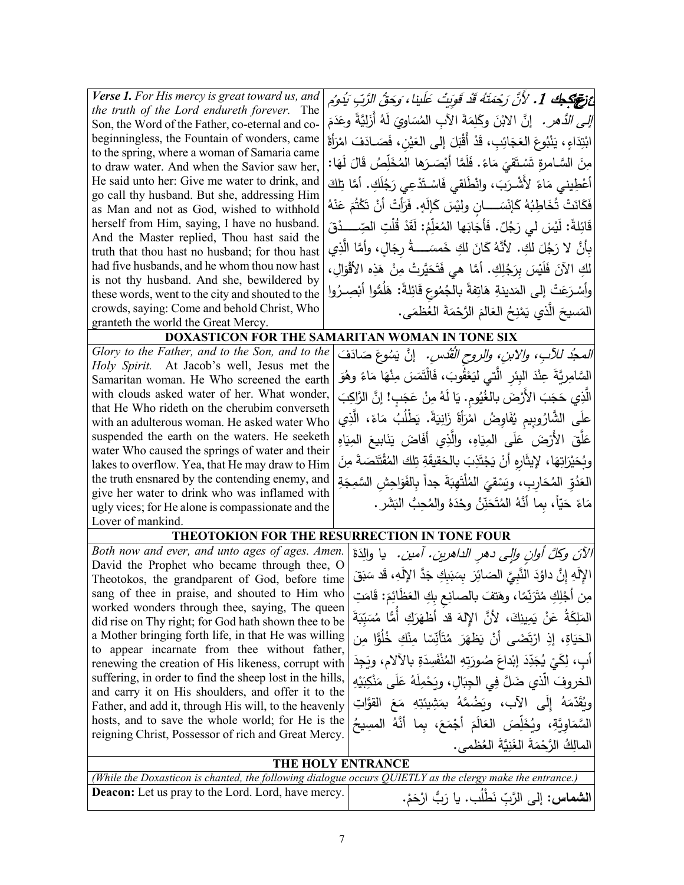| <b>Verse 1.</b> For His mercy is great toward us, and                                                           | لِمَ تَوَقِّكُهُ 1. لأَنَّ رَجْمَتَهُ قَدْ قَوِيتُ عَلَينا، وَحَقُّ الزَّبِّ يَدُومُ                      |
|-----------------------------------------------------------------------------------------------------------------|-----------------------------------------------------------------------------------------------------------|
| the truth of the Lord endureth forever. The                                                                     |                                                                                                           |
| Son, the Word of the Father, co-eternal and co-                                                                 | <i>إلى الدَّهر .</i> إنَّ الابْنَ وكَلِمَةَ الآبِ المُسَاوِيَ لَهُ أَزَلِيَّةً وعَدَمَ                    |
| beginningless, the Fountain of wonders, came                                                                    | ابْتِدَاءٍ ، يَنْبُوعَ العَجَائِبِ، قَدْ أَقْبَلَ إِلَى العَيْنِ، فَصَـادَفَ امْرَأَةً                    |
| to the spring, where a woman of Samaria came<br>to draw water. And when the Savior saw her,                     | مِنَ السَّامرةِ تَسْتَقيَ مَاءً. فَلَمَّا أَبْصَـرَها المُخَلِّصُ قَالَ لَهَا:                            |
| He said unto her: Give me water to drink, and                                                                   | أَعْطِيني مَاءً لأَشْرَبَ، وانْطَلَقي فَاسْتَذْعِي رَجُلَكِ. أمَّا نِلكَ                                  |
| go call thy husband. But she, addressing Him                                                                    |                                                                                                           |
| as Man and not as God, wished to withhold                                                                       | فَكَانَتْ تُخَاطِبُهُ كَإِنْسَــــانِ وليْسَ كَإِلَهٍ. فَرَأَتْ أَنْ تَكْتُمَ عَنْهُ                      |
| herself from Him, saying, I have no husband.                                                                    | قَائِلةً: لَيْسَ لـى رَجُلٌ. فَأَجَابَها الْمُعَلِّمُ: لَقَدْ قُلْتِ الْصِّــــدْقَ                       |
| And the Master replied, Thou hast said the<br>truth that thou hast no husband; for thou hast                    | بِأَنَّ لا رَجُلَ لَكِ. لأَنَّهُ كَانَ لَكِ خَمسَـــةُ رِجَالٍ، وأمَّا الَّذِي                            |
| had five husbands, and he whom thou now hast                                                                    | لْكِ الْأَنَ فَلَيْسَ بِرَجُلِكِ. أَمَّا هي فَتَحَيَّرتُ مِنْ هَذِه الأَقْوَالِ،                          |
| is not thy husband. And she, bewildered by                                                                      |                                                                                                           |
| these words, went to the city and shouted to the                                                                | وأَسْرَعَتْ إلى المَدينةِ هَاتِفةً بالْجُمُوعِ قَائِلةً: هَلَمُّوا أَبْصِـرُوا                            |
| crowds, saying: Come and behold Christ, Who                                                                     | المَسيحَ الَّذي يَمْنِحُ العَالَمَ الرَّحْمَةَ العُظْمَى.                                                 |
| granteth the world the Great Mercy.                                                                             |                                                                                                           |
|                                                                                                                 | DOXASTICON FOR THE SAMARITAN WOMAN IN TONE SIX                                                            |
| Glory to the Father, and to the Son, and to the                                                                 | <i>المجدُ للآبِ، والابن، والروح القُدْسِ.</i> إنَّ يَسُوعَ صَادَفَ                                        |
| Holy Spirit. At Jacob's well, Jesus met the<br>Samaritan woman. He Who screened the earth                       | السَّامِرِيَّةَ عِنْدَ البئرِ الَّتي ليَعْقُوبَ، فَالْتَمَسَ مِنْهَا مَاءً وهُوَ                          |
| with clouds asked water of her. What wonder,                                                                    |                                                                                                           |
| that He Who rideth on the cherubim converseth                                                                   | الَّذِي حَجَبَ الأَرْضَ بالغُيُومِ. يَا لَهُ مِنْ عَجَبٍ! إنَّ الرَّاكِبَ                                 |
| with an adulterous woman. He asked water Who                                                                    | علَى الشَّارُوبِيم يُفَاوِضُ امْرَأَةً زَانِيَةً. يَطْلُبُ مَاءً، الَّذِي                                 |
| suspended the earth on the waters. He seeketh                                                                   | عَلْقَ الأَرْضَ عَلَى المِيَاهِ، والَّذِي أَفَاضَ يَنَابِيعَ الْمِيَاهِ                                   |
| water Who caused the springs of water and their                                                                 |                                                                                                           |
| lakes to overflow. Yea, that He may draw to Him                                                                 | وِبُحَيْرَاتِهَا، لإِيثَارِهِ أَنْ يَجْتَذِبَ بِالْحَقيقَةِ تِلْكِ الْمُقْتَنَصَةَ مِنَ                   |
| the truth ensnared by the contending enemy, and                                                                 | العَدُقِ المُحَارِبِ، ويَسْقىَ المُلْتَهِبَةَ جداً بِالفَوَاحِشِ السَّمِجَةِ                              |
| give her water to drink who was inflamed with                                                                   | مَاءً حَيّاً، بِما أَنَّهُ الْمُتَحَنِّنُ وحْدَهُ والْمُحِبُّ الْبَشَرِ .                                 |
| ugly vices; for He alone is compassionate and the                                                               |                                                                                                           |
| Lover of mankind.                                                                                               | THEOTOKION FOR THE RESURRECTION IN TONE FOUR                                                              |
| Both now and ever, and unto ages of ages. Amen.                                                                 |                                                                                                           |
| David the Prophet who became through thee, O                                                                    | الآنَ وكُلَّ أُوانٍ وإلى دهرِ الداهرينِ. أمين.  يا والِذَةَ                                               |
| Theotokos, the grandparent of God, before time                                                                  | الإِلَهِ إِنَّ داوُدَ النَّبِيَّ الصَائِرَ بِسَبَبِكِ جَدَّ الإِلَهِ، قَد سَبَقَ                          |
| sang of thee in praise, and shouted to Him who                                                                  | مِن أَجْلِكِ مُتَرَنِّمًا، وهَتفَ بالصانِع بِكِ العَظَائِمَ: قَامَتِ                                      |
| worked wonders through thee, saying, The queen<br>did rise on Thy right; for God hath shown thee to be          | المَلِكَةُ عَنْ يَمِينِكَ، لأَنَّ الإِلهَ قد أَظْهَرَكِ أَمًّا مُسَبِّبَةَ                                |
| a Mother bringing forth life, in that He was willing                                                            | الْحَيَاةِ، إِذِ ارْتَضَى أَنْ يَظْهَرَ مُتَأَنِّسًا مِنْكِ خُلُوًّا مِن                                  |
| to appear incarnate from thee without father,                                                                   | أَبِ، لِكَيْ يُجَدِّدَ إِبْداعَ صُورَتِهِ المُنْفَسِدَةِ بِالآلامِ، ويَجِدَ                               |
| renewing the creation of His likeness, corrupt with<br>suffering, in order to find the sheep lost in the hills, | الخروفَ الّذي ضَلَّ فِي الْجِبَالِ، ويَحْمِلَهُ عَلَى مَنْكِبَيْهِ                                        |
| and carry it on His shoulders, and offer it to the                                                              |                                                                                                           |
| Father, and add it, through His will, to the heavenly                                                           | وِبُقَدِّمَهُ إِلَى الآب، وبَضُمَّهُ بِمَشِيئَتِهِ مَعَ الْقَوَّاتِ                                       |
| hosts, and to save the whole world; for He is the                                                               | السَّمَاوِيَّةِ، ويُخَلِّصَ الْعَالَمَ أَجْمَعَ، بما أَنَّهُ الْمسِيحُ                                    |
| reigning Christ, Possessor of rich and Great Mercy.                                                             | المالِكُ الرَّحْمَةَ الغَنِيَّةَ العُظمى.                                                                 |
| THE HOLY ENTRANCE                                                                                               |                                                                                                           |
|                                                                                                                 | (While the Doxasticon is chanted, the following dialogue occurs QUIETLY as the clergy make the entrance.) |
| <b>Deacon:</b> Let us pray to the Lord. Lord, have mercy.                                                       | ا <b>لشماس:</b> إلى الرَّبِّ نَطْلُبٍ. يا رَبُّ ارْحَمْ.                                                  |
|                                                                                                                 |                                                                                                           |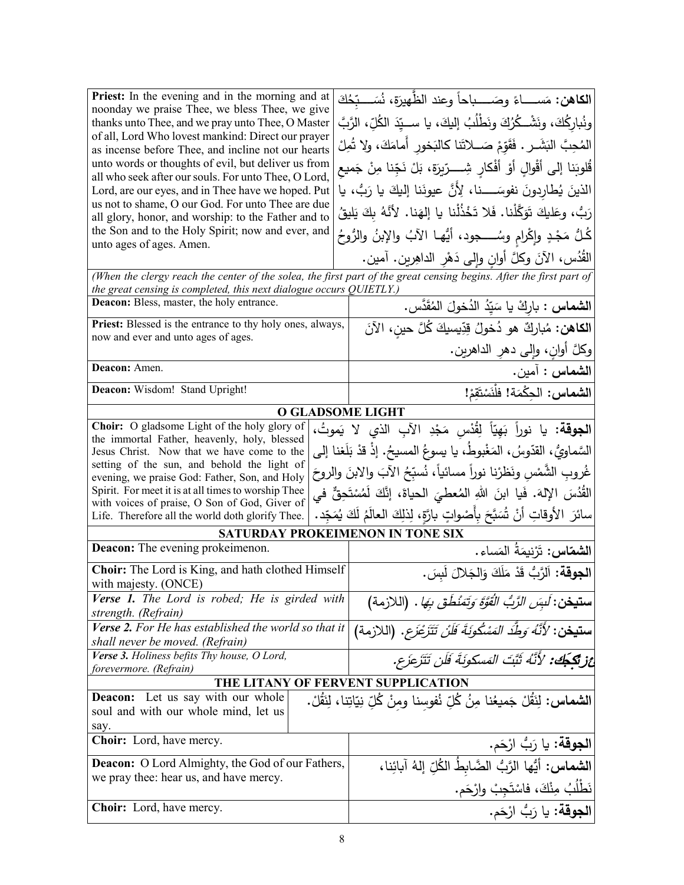| <b>Priest:</b> In the evening and in the morning and at                                                     | ا <b>لكاهن:</b> مَســــاءً وصَـــــباحاً وعِند الظَّهيرَة، نُسَـــبّحُكَ                                            |
|-------------------------------------------------------------------------------------------------------------|---------------------------------------------------------------------------------------------------------------------|
| noonday we praise Thee, we bless Thee, we give                                                              |                                                                                                                     |
| thanks unto Thee, and we pray unto Thee, O Master<br>of all, Lord Who lovest mankind: Direct our prayer     | ونُباركُكَ، ونَشْــكُرُكَ ونَطْلُبُ إليكَ، يا ســـيِّدَ الكُلِّ، الرَّبَّ                                           |
| as incense before Thee, and incline not our hearts                                                          | المُحِبَّ النِّشَـرِ . فَقَوّمْ صَـــلاتَنا كالنِّخور أَمامَكَ، ولا تُمِلْ                                          |
| unto words or thoughts of evil, but deliver us from<br>all who seek after our souls. For unto Thee, O Lord, | قُلوبَنا إلى أقْوالٍ أَوْ أَفْكارٍ شِــــرِّيرَة، بَلْ نَجِّنا مِنْ جَميع                                           |
| Lord, are our eyes, and in Thee have we hoped. Put                                                          | الذينَ يُطارِدونَ نفوسَــــنا، لِأَنَّ عيونَنا إليكَ يا رَبُّ، يا                                                   |
| us not to shame, O our God. For unto Thee are due                                                           |                                                                                                                     |
| all glory, honor, and worship: to the Father and to                                                         | رَبُّ، وعَليكَ تَوَكَّلْنا. فَلا تَخْذُلْنا يا إلهَنا. لأنَّهُ بكَ يَليقُ                                           |
| the Son and to the Holy Spirit; now and ever, and<br>unto ages of ages. Amen.                               | كُلُّ مَجْدٍ وإكْرامٍ وسُـــــجود، أَيُّهـا الآبُ والإبنُ والرُّوحُ                                                 |
|                                                                                                             | الْقُدُسِ، الآنَ وكُلَّ أُوانٍ وَإِلَى دَهْرِ الدَاهِرِينِ. آمينِ.                                                  |
|                                                                                                             | (When the clergy reach the center of the solea, the first part of the great censing begins. After the first part of |
| the great censing is completed, this next dialogue occurs QUIETLY.)                                         |                                                                                                                     |
| Deacon: Bless, master, the holy entrance.                                                                   | ا <b>لشماس :</b> باركْ يا سَيّدُ الدُخولَ المُقَدَّس.                                                               |
| Priest: Blessed is the entrance to thy holy ones, always,<br>now and ever and unto ages of ages.            | ا <b>لكاهن:</b> مُباركٌ هو دُخولُ قِدِّيسيكَ كُلَّ حين، الآنَ                                                       |
|                                                                                                             | وكلَّ أُوان، وإلى دهر الداهرين.                                                                                     |
| Deacon: Amen.                                                                                               | الشماس : آمين.                                                                                                      |
| Deacon: Wisdom! Stand Upright!                                                                              | الشماس: الحكْمَة! فلْنَسْتَقِمْ!                                                                                    |
|                                                                                                             | <b>O GLADSOME LIGHT</b>                                                                                             |
| Choir: O gladsome Light of the holy glory of                                                                | ا <b>لجوقة:</b> يا نوراً بَهيّاً لِقُدْس مَجْدِ الآبِ الذي لا يَموتُ،                                               |
| the immortal Father, heavenly, holy, blessed                                                                |                                                                                                                     |
| Jesus Christ. Now that we have come to the                                                                  | السَّماويُّ، القدّوسُ، المَغْبوطُ، يا يسوعُ المسيحُ. إذْ قدْ بَلَغنا إلى                                            |
| setting of the sun, and behold the light of                                                                 | غُروبِ الشُّمْسِ ونَظرْنِا نوراً مسائياً، نُسبِّحُ الآبَ والابنَ والروحَ                                            |
| evening, we praise God: Father, Son, and Holy<br>Spirit. For meet it is at all times to worship Thee        |                                                                                                                     |
| with voices of praise, O Son of God, Giver of                                                               | القُدُسَ الإِلهَ. فَيا ابنَ اللهِ المُعطيَ الحياةَ، إنَّكَ لَمُسْتَحِقٌّ في                                         |
| Life. Therefore all the world doth glorify Thee.                                                            | سائرَ  الأوقاتِ  أَنْ  تُسَبَّحَ بِأَصْواتٍ بارَّةٍ، لِذلِكَ  العالَمُ لَكَ يُمَجِّد.                               |
|                                                                                                             | <b>SATURDAY PROKEIMENON IN TONE SIX</b>                                                                             |
| Deacon: The evening prokeimenon.                                                                            | ا <b>لشمّاس:</b> تَرْنيمَةُ المَساء.                                                                                |
| Choir: The Lord is King, and hath clothed Himself                                                           | ا <b>لجوقة:</b> اَلرَّبُّ قَدْ مَلَكَ وَالجَلالَ لَبِسَ.                                                            |
| with majesty. (ONCE)                                                                                        |                                                                                                                     |
| Verse 1. The Lord is robed; He is girded with<br>strength. (Refrain)                                        | <b>ستيخن</b> : <i>لَبِسَ الرَّبُّ الْقَوَّةَ وَتَمَنْطَقَ بِهَا</i> . (اللازمة)                                     |
| Verse 2. For He has established the world so that it                                                        | <b>ستيغَن:</b> 'لأَنَّهُ وَطَّدَ <i>المَسْكُونَةَ فَلَنْ تَتَزَعْزَع</i> . (اللازمة)                                |
| shall never be moved. (Refrain)<br>Verse 3. Holiness befits Thy house, O Lord,                              |                                                                                                                     |
| forevermore. (Refrain)                                                                                      | عْزِ تَكْجَكْ: لأَنَّهُ ثَبَّتَ الْمَسْكُونَةَ فَلَن تَتَزَعَزَع.                                                   |
|                                                                                                             | THE LITANY OF FERVENT SUPPLICATION                                                                                  |
| <b>Deacon:</b> Let us say with our whole                                                                    | ا <b>لشماس:</b> لِنَقُلْ جَميعُنا مِنُ كُلِّ نُفوسنا ومنْ كُلِّ نِيّاتِنا، لِنَقُلْ.                                |
| soul and with our whole mind, let us                                                                        |                                                                                                                     |
| say.                                                                                                        |                                                                                                                     |
| <b>Choir:</b> Lord, have mercy.                                                                             | ا <b>لجوقة:</b> يا رَبُّ ارْحَم.                                                                                    |
| Deacon: O Lord Almighty, the God of our Fathers,                                                            | الشماس: أَيُّها الرَّبُّ الضَّابطُ الكُلِّ إلهُ آبائِنا،                                                            |
| we pray thee: hear us, and have mercy.                                                                      |                                                                                                                     |
|                                                                                                             |                                                                                                                     |
| Choir: Lord, have mercy.                                                                                    | نَطْلُبُ مِنْكَ، فاسْتَجِبْ وارْحَم.<br> ا <b>لجوقة:</b> يا رَبُّ ارْحَم.                                           |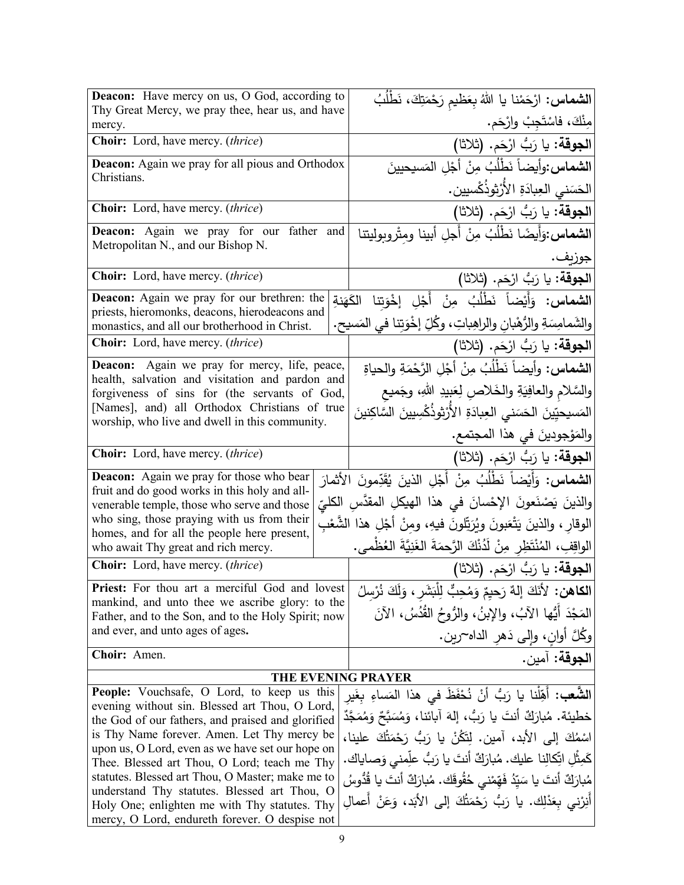| <b>Deacon:</b> Have mercy on us, O God, according to                                                                | ا <b>لشماس:</b> ارْحَمْنا يا اللهُ بِعَظيم رَحْمَتِكَ، نَطْلُبُ             |
|---------------------------------------------------------------------------------------------------------------------|-----------------------------------------------------------------------------|
| Thy Great Mercy, we pray thee, hear us, and have                                                                    |                                                                             |
| mercy.                                                                                                              | مِنْكَ، فَاسْتَجِبْ وارْحَم.                                                |
| <b>Choir:</b> Lord, have mercy. (thrice)                                                                            | ا <b>لجوقة:</b> يا رَبُّ ارْحَم. (ثلاثا)                                    |
| Deacon: Again we pray for all pious and Orthodox                                                                    | ا <b>لشماس:</b> وأيضاً نَطْلُبُ مِنْ أَجْلِ المَسيحيينَ                     |
| Christians.                                                                                                         | الحَسَنى العِبادَةِ الأَرْثوذُكْسيين.                                       |
| Choir: Lord, have mercy. (thrice)                                                                                   | ا <b>لجوقة:</b> يا رَبُّ ارْحَم. (ثلاثا)                                    |
| Deacon: Again we pray for our father and                                                                            | الشماس:وَأَيضًا نَطْلُبُ مِنْ أَجلِ أبينا ومتْروبوليتنا                     |
| Metropolitan N., and our Bishop N.                                                                                  | جوزيف.                                                                      |
| <b>Choir:</b> Lord, have mercy. <i>(thrice)</i>                                                                     | ا <b>لجوقة:</b> يا رَبُّ ارْحَم. (ثلاثا)                                    |
| <b>Deacon:</b> Again we pray for our brethren: the                                                                  | ا <b>لشماس:</b> وَأَيْضاً نَطْلُبُ مِنْ أَجْلِ إِخْوَتِنا الكَهَنةِ         |
| priests, hieromonks, deacons, hierodeacons and                                                                      | والشَمامِسَةِ والرُّهْبانِ والراهِباتِ، وكُلِّ إخْوَتِنا في المَسيحِ.       |
| monastics, and all our brotherhood in Christ.<br><b>Choir:</b> Lord, have mercy. (thrice)                           |                                                                             |
|                                                                                                                     | الجوقة: يا رَبُّ ارْحَم. (ثلاثا)                                            |
| Deacon: Again we pray for mercy, life, peace,<br>health, salvation and visitation and pardon and                    | ا <b>لشماس:</b> وأيضاً نَطْلُبُ مِنْ أَجْلِ الرَّحْمَةِ والحياةِ            |
| forgiveness of sins for (the servants of God,                                                                       | والسَّلام والعافِيَةِ والخَلاص لِعَبِيدِ اللهِ، وجَميع                      |
| [Names], and) all Orthodox Christians of true<br>worship, who live and dwell in this community.                     | المَسيحيِّينَ الحَسَني العِبادَةِ الأَرْثوذُكْسِيينَ السَّاكِنينَ           |
|                                                                                                                     | والمَوْجودينَ في هذا المجتمع.                                               |
| Choir: Lord, have mercy. (thrice)                                                                                   | الجوقة: يا رَبُّ ارْحَم. (ثلاثا)                                            |
| <b>Deacon:</b> Again we pray for those who bear                                                                     | ا <b>لشماس:</b> وَأَيْضاً نَطْلُبُ مِنْ أَجْلِ الذينَ يُقَدِّمونَ الأَثمارَ |
| fruit and do good works in this holy and all-<br>venerable temple, those who serve and those                        | والذينَ يَصْنَعونَ الإحْسانَ في هذا الهيكلِ المقدَّسِ الكليِّ               |
| who sing, those praying with us from their                                                                          | الوقارِ ، والذينَ يَتْعَبونَ ويُرَتِّلونَ فيهِ، ومِنْ أَجْلِ هذا الشَّعْبِ  |
| homes, and for all the people here present,<br>who await Thy great and rich mercy.                                  | الواقِفِ، المُنْتَظِرِ مِنْ لَدُنْكَ الرَّحمَةَ الغَنِيَّةَ العُظْمى.       |
| Choir: Lord, have mercy. (thrice)                                                                                   | الجوقة: يا رَبُ ارْحَم. (ثلاثا)                                             |
| المكاهن: لأَنَكَ إِلهٌ رَحيِمٌ وَمُحِبٌّ لِلْبَشَرِ، وَلَكَ نُرْسِلُ Priest: For thou art a merciful God and lovest |                                                                             |
| mankind, and unto thee we ascribe glory: to the                                                                     | المَجْدَ أَيُّها الآبُ، والإِبنُ، والرُّوحُ الْقُدُسُ، الآنَ                |
| Father, and to the Son, and to the Holy Spirit; now<br>and ever, and unto ages of ages.                             |                                                                             |
| Choir: Amen.                                                                                                        | وكُلَّ أُوانِ، وإِلَى دَهْرِ الداه~رين.                                     |
|                                                                                                                     | الجوقة: آمين.                                                               |
| <b>THE EVENING PRAYER</b><br><b>People:</b> Vouchsafe, O Lord, to keep us this                                      |                                                                             |
| evening without sin. Blessed art Thou, O Lord,                                                                      | ا <b>لشَّعب:</b> أَهِّلْنا يا رَبُّ أَنْ نُحْفَظَ في هذا المَساءِ بغَير     |
| the God of our fathers, and praised and glorified                                                                   | خطيئة. مُبارَكٌ أَنتَ يا رَبُّ، إِلهَ آبائنا، وَمُسَبَّحٌ وَمُمَجَّدٌ       |
| is Thy Name forever. Amen. Let Thy mercy be                                                                         | اسْمُكَ إلى الأبد، آمين. لِتَكُنْ يا رَبُّ رَحْمَتُكَ علينا،                |
| upon us, O Lord, even as we have set our hope on                                                                    |                                                                             |
| Thee. Blessed art Thou, O Lord; teach me Thy                                                                        | كَمِثْلِ اتِّكالِنا عليك. مُبارَكٌ أنتَ يا رَبُّ علِّمني وَصاياك.           |
| statutes. Blessed art Thou, O Master; make me to                                                                    | مُبارَكٌ أَنتَ يا سَيّدُ فَهّمْنـى حُقُوقَك. مُبارَكٌ أَنتَ يا قُدُوسُ      |
| understand Thy statutes. Blessed art Thou, O<br>Holy One; enlighten me with Thy statutes. Thy                       | أَنِرْني بِعَذْلِك. يا رَبُّ رَحْمَتُكَ إلى الأَبَد، وَعَنْ أَعمالِ         |
| mercy, O Lord, endureth forever. O despise not                                                                      |                                                                             |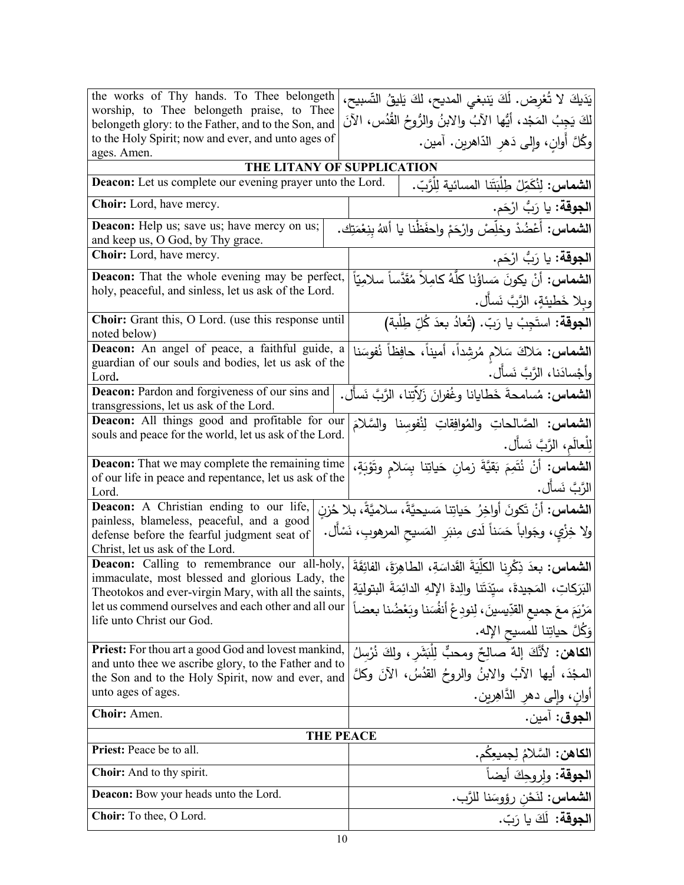| the works of Thy hands. To Thee belongeth                                                                        | يَدَيكَ لا تُعْرِض. لَكَ يَنبغي المديح، لكَ يَليقُ التّسبيح،                 |
|------------------------------------------------------------------------------------------------------------------|------------------------------------------------------------------------------|
| worship, to Thee belongeth praise, to Thee                                                                       | لكَ يَجِبُ المَجْد، أَيُّها الآبُ والابنُ والرُّوحُ القُدُس، الآنَ           |
| belongeth glory: to the Father, and to the Son, and                                                              |                                                                              |
| to the Holy Spirit; now and ever, and unto ages of<br>ages. Amen.                                                | وكُلَّ أُوانِ، وإِلى دَهرِ الدَّاهرينِ. آمين.                                |
| THE LITANY OF SUPPLICATION                                                                                       |                                                                              |
| <b>Deacon:</b> Let us complete our evening prayer unto the Lord.                                                 | ا <b>لشماس:</b> لِنُكَمِّلْ طِلْبَتَنا المسائية لِلْرَّبّ.                   |
| Choir: Lord, have mercy.                                                                                         | <b>الجوقة:</b> يا رَبُّ ارْحَم.                                              |
| Deacon: Help us; save us; have mercy on us;<br>and keep us, O God, by Thy grace.                                 | ا <b>لشماس:</b> أُعْضُدْ وخلِّصْ وارْحَمْ واحفَظْنا يا أللهُ بنِعْمَتِك.     |
| Choir: Lord, have mercy.                                                                                         | ا <b>لجوقة:</b> يا رَبُّ ارْحَم.                                             |
| Deacon: That the whole evening may be perfect,                                                                   | ا <b>لشماس:</b> أنْ يكونَ مَساؤُنا كلُّهُ كامِلاً مُقَدَّساً سلامِيّاً       |
| holy, peaceful, and sinless, let us ask of the Lord.                                                             | وبلا خَطْيئةٍ، الرَّبَّ نَسأَل.                                              |
| Choir: Grant this, O Lord. (use this response until<br>noted below)                                              | الْجُوقَة: استَجِبْ يا رَبّ. (تُعادُ بعدَ كُلِّ طِلْبة)                      |
| Deacon: An angel of peace, a faithful guide, a                                                                   | الشماس: مَلاكَ سَلامٍ مُرشِداً، أَميناً، حافِظاً نُفوسَنا                    |
| guardian of our souls and bodies, let us ask of the                                                              | وأجْسادَنا، الرَّبَّ نَسأَل.                                                 |
| Lord.                                                                                                            |                                                                              |
| Deacon: Pardon and forgiveness of our sins and<br>transgressions, let us ask of the Lord.                        | ا <b>لشماس:</b> مُسامحةَ خَطايانا وغُفرانَ زَلاّتِنا، الرَّبَّ نَسأَل.       |
| Deacon: All things good and profitable for our                                                                   | الشماس: الصَّالحاتِ والمُوافِقاتِ لِنُفوسنا والسَّلامَ                       |
| souls and peace for the world, let us ask of the Lord.                                                           | لِلْعالَم، الزَّبَّ نَسأَل.                                                  |
|                                                                                                                  |                                                                              |
| <b>Deacon:</b> That we may complete the remaining time<br>of our life in peace and repentance, let us ask of the | الشماس: أَنْ نُتَمِمَ بَقَيَّةَ زِمانِ حَياتِنا بِسَلامٍ وتَوْبَةٍ،          |
| Lord.                                                                                                            | الرَّبَّ نَسأَل.                                                             |
| Deacon: A Christian ending to our life,                                                                          | ا <b>لشماس:</b> أنْ تَكونَ أواخِرُ حَياتِنا مَسيحيَّةً، سلاميَّةً، بلا حُزنٍ |
| painless, blameless, peaceful, and a good<br>defense before the fearful judgment seat of                         | ولا خِزْيٍ، وجَواباً حَسَناً لَدى مِنبَرِ المَسيح المرهوبِ، نَسْأَل.         |
| Christ, let us ask of the Lord.                                                                                  |                                                                              |
| Deacon: Calling to remembrance our all-holy,                                                                     | ا <b>لشماس:</b> بعدَ ذِكْرِنا الكلِّيَةَ القَداسَةِ، الطاهِرَةَ، الفائِقَةَ  |
| immaculate, most blessed and glorious Lady, the                                                                  | البَرَكاتِ، المَجيدةَ، سيّدَتَنا والِدةَ الإِلهِ الدائِمَةَ البتوليَةِ       |
| Theotokos and ever-virgin Mary, with all the saints,<br>let us commend ourselves and each other and all our      |                                                                              |
| life unto Christ our God.                                                                                        | مَرْيَمَ معَ جميعِ القدِّيسينَ، لِنودِعْ أنفُسَنا وبَعْضُنا بعضاً            |
|                                                                                                                  | وَكُلَّ حياتِنا للمسيح الإِله.                                               |
| Priest: For thou art a good God and lovest mankind,<br>and unto thee we ascribe glory, to the Father and to      | ا <b>لكاهن:</b> لأَنَّكَ إِلهٌ صالِحٌ ومحبٌّ لِلْبَشَرِ ، ولِكَ نُرْسِلُ     |
| the Son and to the Holy Spirit, now and ever, and                                                                | المُجْدَ، أَيها الآبُ والابنُ والروحُ القُدُسُ، الآنَ وكلَّ                  |
| unto ages of ages.                                                                                               | أُوانِ، وَإِلَى دَهْرِ الدَّاهِرِينِ.                                        |
| Choir: Amen.                                                                                                     | الجوق: آمين.                                                                 |
| <b>THE PEACE</b>                                                                                                 |                                                                              |
| Priest: Peace be to all.                                                                                         |                                                                              |
| <b>Choir:</b> And to thy spirit.                                                                                 | ا <b>لكاهن:</b> السَّلامُ لِجميعِكُم.<br>ا <b>لجوقة</b> : ولِروحِكَ أيضاً    |
| <b>Deacon:</b> Bow your heads unto the Lord.                                                                     | الشماس: لذَحْنِ رؤوسَنا للرَّب.                                              |
| Choir: To thee, O Lord.                                                                                          | ا <b>لجوقة:</b> لَكَ يا رَبّ.                                                |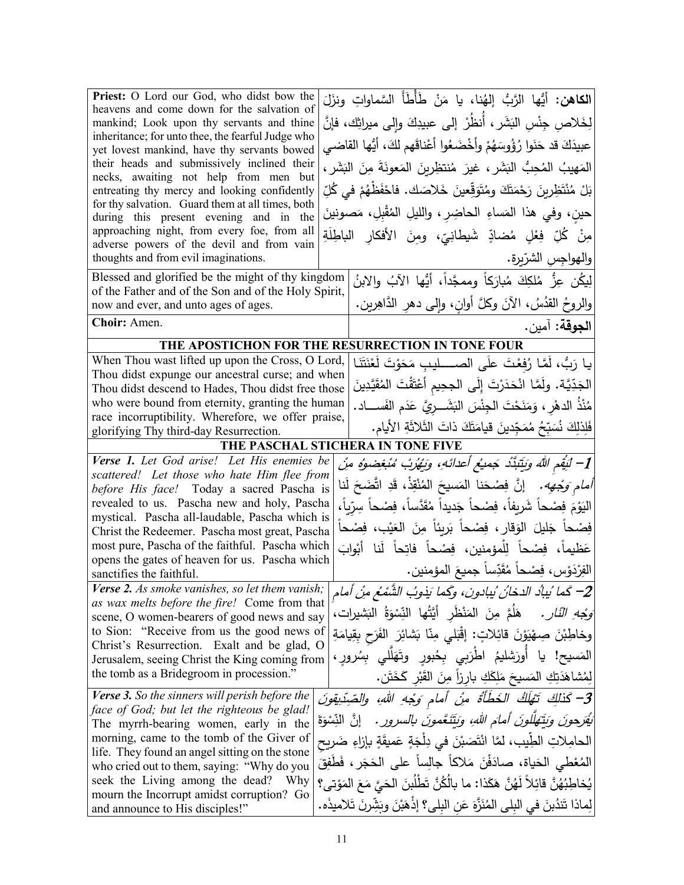| Priest: O Lord our God, who didst bow the<br>heavens and come down for the salvation of<br>mankind; Look upon thy servants and thine<br>inheritance; for unto thee, the fearful Judge who<br>yet lovest mankind, have thy servants bowed<br>their heads and submissively inclined their<br>necks, awaiting not help from men but<br>entreating thy mercy and looking confidently<br>for thy salvation. Guard them at all times, both<br>during this present evening and in the<br>approaching night, from every foe, from all<br>adverse powers of the devil and from vain<br>thoughts and from evil imaginations.<br>Blessed and glorified be the might of thy kingdom                                                    | ا <b>لكاهن:</b> أيُّها الرَّبُّ إلهُنا، يا مَنْ طَأَطَأَ السَّماواتِ ونزَلَ<br>لِخَلاصِ جِنْسِ النِّشَرِ ، أَنظُرْ ۖ إِلَى عبيدِكَ وإِلَى ميراثِك، فإنَّ<br>عبيدَكَ قد حَنَوا رُؤُوسَهُمْ وأَخْضَعُوا أَعْناقَهم لكَ، أَيُّها القاضي<br>المَهيبُ المُحِبُّ البَشَرِ، غيرَ مُنتظِرينَ المَعونَةَ مِنَ البَشَرِ،<br>بَلْ مُنْتَظِرِينَ رَحْمَتَكَ ومُتَوَقِّعينَ خَلاصَك. فاحْفَظْهُمْ في كُلِّ<br>حين، وفي هذا المَساءِ الحاضِرِ، والليلِ المُقْبِلِ، مَصونينَ<br>مِنْ كُلِّ فِعْلٍ مُضادٍّ شَيطانِيّ، ومِنَ الأفكار الباطِلَةِ<br>والهواجِسِ الشرّيرةِ.<br>لِيكُن عِزُّ مُلكِكَ مُبارَكاً وممجَّداً، أيُّها الآبُ والابنُ                                                                                                                    |
|----------------------------------------------------------------------------------------------------------------------------------------------------------------------------------------------------------------------------------------------------------------------------------------------------------------------------------------------------------------------------------------------------------------------------------------------------------------------------------------------------------------------------------------------------------------------------------------------------------------------------------------------------------------------------------------------------------------------------|----------------------------------------------------------------------------------------------------------------------------------------------------------------------------------------------------------------------------------------------------------------------------------------------------------------------------------------------------------------------------------------------------------------------------------------------------------------------------------------------------------------------------------------------------------------------------------------------------------------------------------------------------------------------------------------------------------------------------------------------|
| of the Father and of the Son and of the Holy Spirit,<br>now and ever, and unto ages of ages.                                                                                                                                                                                                                                                                                                                                                                                                                                                                                                                                                                                                                               | والروحُ القدُسُ، الآنَ وكلَّ أوانِ، وإلى دهرِ الدَّاهِرين.                                                                                                                                                                                                                                                                                                                                                                                                                                                                                                                                                                                                                                                                                   |
| Choir: Amen.                                                                                                                                                                                                                                                                                                                                                                                                                                                                                                                                                                                                                                                                                                               | ا <b>لجوقة:</b> آمين.                                                                                                                                                                                                                                                                                                                                                                                                                                                                                                                                                                                                                                                                                                                        |
|                                                                                                                                                                                                                                                                                                                                                                                                                                                                                                                                                                                                                                                                                                                            | THE APOSTICHON FOR THE RESURRECTION IN TONE FOUR                                                                                                                                                                                                                                                                                                                                                                                                                                                                                                                                                                                                                                                                                             |
| When Thou wast lifted up upon the Cross, O Lord,                                                                                                                                                                                                                                                                                                                                                                                                                                                                                                                                                                                                                                                                           | يا رَبُّ، لَمَّا رُفِعْتَ علَى الصـــــليبِ مَحَوْتَ لَعْنَتَنَا                                                                                                                                                                                                                                                                                                                                                                                                                                                                                                                                                                                                                                                                             |
| Thou didst expunge our ancestral curse; and when<br>Thou didst descend to Hades, Thou didst free those                                                                                                                                                                                                                                                                                                                                                                                                                                                                                                                                                                                                                     | الجَدِّيَّة. ولَمَّا انْحَدَرْتَ إِلَى الجحِيم أَعْتَقْتَ المُقَيَّدِينَ                                                                                                                                                                                                                                                                                                                                                                                                                                                                                                                                                                                                                                                                     |
| who were bound from eternity, granting the human                                                                                                                                                                                                                                                                                                                                                                                                                                                                                                                                                                                                                                                                           | مُنْذُ الدهْرِ ، وَمَنَحْتَ الْجِنْسَ النَشَـــرِيَّ عَدَمِ الفَســــاد.                                                                                                                                                                                                                                                                                                                                                                                                                                                                                                                                                                                                                                                                     |
| race incorruptibility. Wherefore, we offer praise,<br>glorifying Thy third-day Resurrection.                                                                                                                                                                                                                                                                                                                                                                                                                                                                                                                                                                                                                               | فَلِذلِكَ نُسَبِّحُ مُمَجِّدينَ قيامَتَكَ ذاتَ الثَلاثَةِ الأيام.                                                                                                                                                                                                                                                                                                                                                                                                                                                                                                                                                                                                                                                                            |
|                                                                                                                                                                                                                                                                                                                                                                                                                                                                                                                                                                                                                                                                                                                            | THE PASCHAL STICHERA IN TONE FIVE                                                                                                                                                                                                                                                                                                                                                                                                                                                                                                                                                                                                                                                                                                            |
| Verse 1. Let God arise! Let His enemies be<br>scattered! Let those who hate Him flee from<br>before His face! Today a sacred Pascha is<br>revealed to us. Pascha new and holy, Pascha<br>mystical. Pascha all-laudable, Pascha which is<br>Christ the Redeemer. Pascha most great, Pascha<br>most pure, Pascha of the faithful. Pascha which<br>opens the gates of heaven for us. Pascha which<br>sanctifies the faithful.<br>Verse 2. As smoke vanishes, so let them vanish;<br>as wax melts before the fire! Come from that<br>scene, O women-bearers of good news and say<br>to Sion: "Receive from us the good news of<br>Christ's Resurrection. Exalt and be glad, O<br>Jerusalem, seeing Christ the King coming from | [1– لَيُقِمِ اللَّهُ وَبَيَّبَنَّدْ جَمِيعُ أَعدائَهِ، وَبَهْرُبْ مُبْغِضوهُ مِنْ<br><i>أمام وَجْهِه.</i> إنَّ فِصْحَنا المَسيحَ المُنْقِذْ، قَدِ اتَّضَحَ لَنا<br>اليَوْمَ فِصْحاً شَرِيفاً، فِصْحاً جَديداً مُقَدَّساً، فِصْحاً سِرِّياً،<br>فِصْحاً جَليلَ الوَقارِ ، فِصْحاً بَرِيئاً مِنَ العَيْبِ، فِصْحاً<br>عَظيماً، فِصْحاً لِلْمؤمنين، فِصْحاً فاتِحاً لَنا أَبْوابَ<br>الفِرْدَوْس، فِصْحاً مُقَدِّساً جميعَ المؤمنين.<br>2– كَما يُبادُ الدخانُ يُبادونِ، وكَما يَذوبُ الشَّمْعُ مِنْ أمام<br><i>وَجْهِ النّارِ .</i> هَلَمَّ مِنَ المَنْظُرِ أَيَّتُها النِّسْوَةُ البَشْيرات،<br>وخاطِبْنَ صِهْيَوْنَ قَائِلاتٍ: إِقْبَلَى مِنّا بَشَائِرَ الفَرَحِ بِقِيامَةِ<br>المَسيح! يا أُورَشليمُ اطْرَبِي بِحُبورِ وتَهَلّلي بِسُرورٍ، |
| the tomb as a Bridegroom in procession."                                                                                                                                                                                                                                                                                                                                                                                                                                                                                                                                                                                                                                                                                   | لِمُشَاهَدَتِكِ الْمَسِيحَ مَلِكَكِ بارزاً مِنَ القَبْرِ كَخَتَنِ.                                                                                                                                                                                                                                                                                                                                                                                                                                                                                                                                                                                                                                                                           |
| <b>Verse 3.</b> So the sinners will perish before the<br>face of God; but let the righteous be glad!<br>The myrrh-bearing women, early in the<br>morning, came to the tomb of the Giver of<br>life. They found an angel sitting on the stone<br>who cried out to them, saying: "Why do you<br>seek the Living among the dead?<br><b>Why</b><br>mourn the Incorrupt amidst corruption? Go<br>and announce to His disciples!"                                                                                                                                                                                                                                                                                                | 3- كَذَلِكَ تَهْلَكُ الْخَطَأَةُ مِنْ أمام وَجْهِ اللهِ، والصِّدِّيقِونَ<br>ا <i>يْفَرَحونَ وَنَتَهَلَّلُونَ أَمامَ اللَّهِ، وَبَتَنَعَّمُونَ بِالسرورِ.</i> إنَّ النِّسْوَةَ<br>الحامِلاتِ الطِّيبِ، لمَّا انْتَصَبْنَ في دِلْجَةٍ عَميقَةٍ بإزاءِ ضَريحٍ<br>المُعْطي الحَياة، صادَفْنَ مَلاكاً جالِساً على الحَجَرِ ، فَطَفِقَ<br>يُخاطِبُهُنَّ قائِلاً لَهُنَّ هَكَذا: ما بالْكُنَّ تَطْلُبِنَ الْحَيَّ مَعَ الْمَوْتِي؟<br>لِماذا تَندُبنَ في البِلي المُنَزَّهَ عَنِ البِلي؟ إذْهَبْنَ وبَشِّرنَ تَلاميذَه.                                                                                                                                                                                                                             |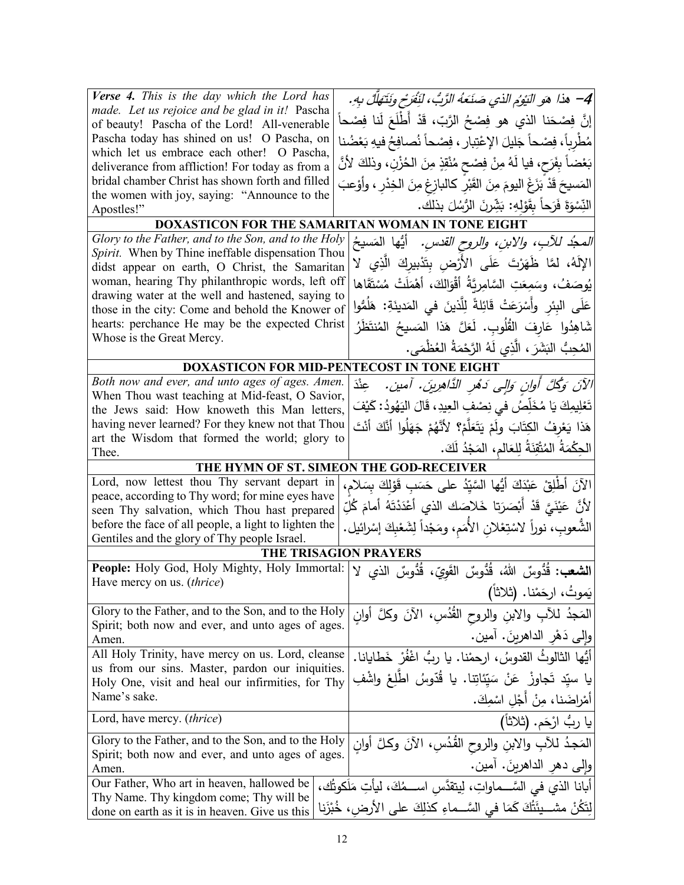| Verse 4. This is the day which the Lord has                                                               |                                                                               |
|-----------------------------------------------------------------------------------------------------------|-------------------------------------------------------------------------------|
| made. Let us rejoice and be glad in it! Pascha                                                            | 4– هذا هو النِّومُ الذي صَنَعَهُ الرَّبُ، لنِّفَرَح ونَتَهَلَّلْ بِهِ.        |
| of beauty! Pascha of the Lord! All-venerable                                                              | إِنَّ فِصْحَنا الذي هو فِصْحُ الرَّبّ، قَدْ أَطْلَعَ لَنا فِصْحاً             |
| Pascha today has shined on us! O Pascha, on                                                               | مُطْرِباً، فِصْحاً جَليلَ الإعْتِبارِ ، فِصْحاً نُصافِحُ فيهِ بَعْضُنا        |
| which let us embrace each other! O Pascha,                                                                |                                                                               |
| deliverance from affliction! For today as from a                                                          | بَعْضاً بِفَرَحٍ، فيا لَهُ مِنْ فِصْحِ مُنْقِذٍ مِنَ الحُزْنِ، وذلكَ لأنَّ    |
| bridal chamber Christ has shown forth and filled                                                          | المَسيحَ قَدْ بَزَغَ اليومَ مِنَ القَبْرِ كالبازِغِ مِنَ الْخِدْرِ ، وأَوْعبَ |
| the women with joy, saying: "Announce to the                                                              | النِّسْوَةَ فَرَحاً بقَوْلِهِ: بَشِّرنَ الرُّسُلَ بذلك.                       |
| Apostles!"                                                                                                | <b>DOXASTICON FOR THE SAMARITAN WOMAN IN TONE EIGHT</b>                       |
| Glory to the Father, and to the Son, and to the Holy                                                      |                                                                               |
| Spirit. When by Thine ineffable dispensation Thou                                                         | <i>الممجدُ للأب، والابن، والروح القدس.</i> أيُّها المَسيحُ                    |
| didst appear on earth, O Christ, the Samaritan                                                            | الإِلَهُ، لمَّا ظَهَرْتَ عَلَى الأَرْضِ بِتَذْبِيرِكَ الَّذِي لا              |
| woman, hearing Thy philanthropic words, left off                                                          | يُوصَفُ، وسَمِعَتِ السَّامِرِيَّةُ أَقْوَالِكَ، أَهْمَلَتْ مُسْتَقَاها        |
| drawing water at the well and hastened, saying to                                                         |                                                                               |
| those in the city: Come and behold the Knower of                                                          | عَلَى البِئرِ وأَسْرَعَتْ قَائِلةً لِلَّذينَ في المَدينَةِ: هَلَمُّوا         |
| hearts: perchance He may be the expected Christ                                                           | شَاهِدُوا عَارِفَ القُلُوبِ. لَعَلَّ هَذا المَسيحُ المُنتَظَرُ                |
| Whose is the Great Mercy.                                                                                 | المُحِبُّ البَشَرَ ، الَّذِي لَهُ الرَّحْمَةُ العُظْمَى.                      |
|                                                                                                           | <b>DOXASTICON FOR MID-PENTECOST IN TONE EIGHT</b>                             |
| Both now and ever, and unto ages of ages. Amen.                                                           |                                                                               |
| When Thou wast teaching at Mid-feast, O Savior,                                                           | الآنَ وَكُلَّ أُوانٍ وَإِلِي دَهْرِ الدَّاهِرِينَ. آمين.<br>عِنْدَ            |
| the Jews said: How knoweth this Man letters,                                                              | تَعْلِيمِكَ يَا مُخَلِّصُ في نِصْفِ الْعِيدِ، قَالَ اليَهُودُ: كَيْفَ         |
| having never learned? For they knew not that Thou                                                         | هَذا يَعْرِفُ الكِتَابَ ولَمْ يَتَعَلَّمْ؟ لأَنَّهُمْ جَهَلُوا أَنَّكَ أَنْتَ |
| art the Wisdom that formed the world; glory to                                                            | الحِكْمَةُ المُتْقِنَةُ لِلعَالمِ، المَجْدُ لَكَ.                             |
|                                                                                                           |                                                                               |
| Thee.                                                                                                     |                                                                               |
|                                                                                                           | THE HYMN OF ST. SIMEON THE GOD-RECEIVER                                       |
| Lord, now lettest thou Thy servant depart in                                                              | الآنَ أطْلِقْ عَبْدَكَ أَيُّها السَّيِّدُ على حَسَبِ قَوْلِكَ بِسَلامٍ،       |
| peace, according to Thy word; for mine eyes have                                                          |                                                                               |
| seen Thy salvation, which Thou hast prepared                                                              | لأَنَّ عَيْنَيَّ قَدْ أَبْصَرَتا خَلاصَكَ الذي أَعْدَدْتَهُ أَمامَ كُلِّ      |
| before the face of all people, a light to lighten the<br>Gentiles and the glory of Thy people Israel.     | الشُّعوبِ، نوراً لاسْتِعْلانِ الأُمَمِ، ومَجْداً لِشَعْبِكَ إسْرائيل.         |
|                                                                                                           | THE TRISAGION PRAYERS                                                         |
| People: Holy God, Holy Mighty, Holy Immortal:                                                             |                                                                               |
| Have mercy on us. (thrice)                                                                                | ا <b>لشعب:</b> قُدُوسٌ اللهُ، قُدُوسٌ القَوِيِّ، قُدُوسٌ الذي لا              |
|                                                                                                           | يَموتُ، ارجَمْنا. (ثلاثاً)                                                    |
| Glory to the Father, and to the Son, and to the Holy                                                      | المَجدُ للأَبِ والابنِ والروح القُدُسِ، الآنَ وكلَّ أُوانِ                    |
| Spirit; both now and ever, and unto ages of ages.                                                         | وإِلى دَهْرِ الداهريِنَ. أَمين.                                               |
| Amen.<br>All Holy Trinity, have mercy on us. Lord, cleanse                                                |                                                                               |
| us from our sins. Master, pardon our iniquities.                                                          | أَيُّها الثالوثُ القدوسُ، ارحِمْنا. يا ربُّ اغْفُرْ خَطايانا.                 |
| Holy One, visit and heal our infirmities, for Thy                                                         | يا سيّد تَجاوزْ عَنْ سَيّئاتِنا. يا قُدّوسُ اطْلِعْ واشْفِ                    |
| Name's sake.                                                                                              | أَمْراضَنا، مِنْ أَجْلِ اسْمِكَ.                                              |
| Lord, have mercy. <i>(thrice)</i>                                                                         |                                                                               |
|                                                                                                           | يا ربُ ارْحَم. (ثلاثاً)                                                       |
| Glory to the Father, and to the Son, and to the Holy<br>Spirit; both now and ever, and unto ages of ages. | المَجدُ للآبِ والابنِ والروحِ القُدُسِ، الآنَ وكلَّ أوان                      |
| Amen.                                                                                                     | وإلى دهر الداهرينَ. أمين.                                                     |
| Our Father, Who art in heaven, hallowed be                                                                | أبانا الذي في السَّـــماواتِ، لِيتقدَّس اســـمُكَ، ليأتِ مَلَكوتُك،           |
| Thy Name. Thy kingdom come; Thy will be<br>done on earth as it is in heaven. Give us this                 | لِتَكُنْ مشـــيئَتُكَ كَمَا فـى السَّــماءِ كذلِكَ على الأرض، خُبْزَنا        |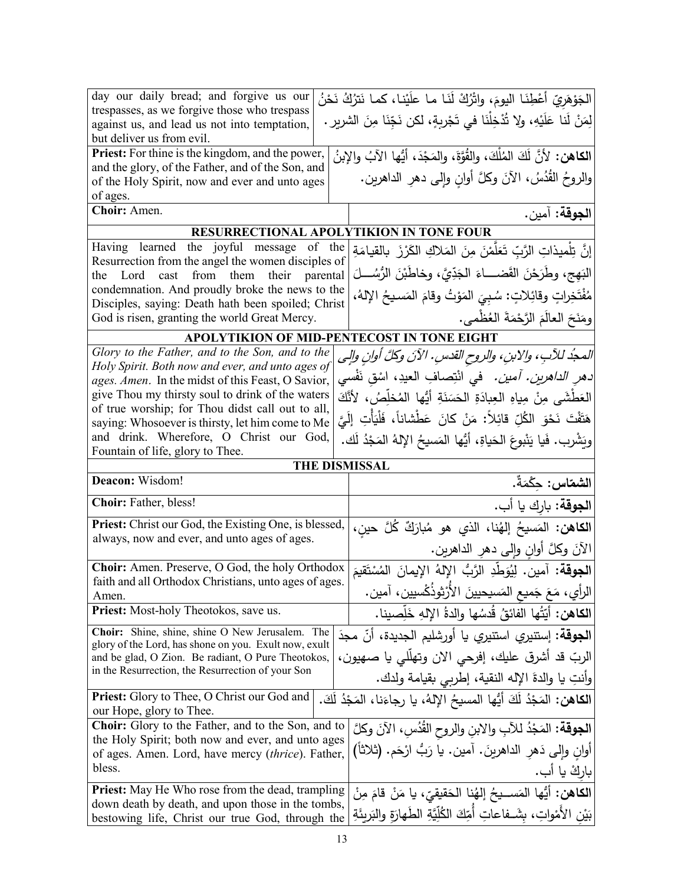| day our daily bread; and forgive us our                                                                          | الجَوْهَرِيّ أَعْطِنَا اليومَ، واتْرُكْ لَنَا ما علَيْنا، كما نَترُكُ نَحْنُ                                                                         |
|------------------------------------------------------------------------------------------------------------------|------------------------------------------------------------------------------------------------------------------------------------------------------|
| trespasses, as we forgive those who trespass                                                                     |                                                                                                                                                      |
| against us, and lead us not into temptation,                                                                     | لِمَنْ لَنا عَلَيْهِ، ولا تُدْخِلْنَا في تَجْرِبِةٍ، لكن نَجِّنَا مِنَ الشريرِ .                                                                     |
| but deliver us from evil.                                                                                        |                                                                                                                                                      |
| Priest: For thine is the kingdom, and the power,                                                                 | ا <b>لكاهن:</b> لأنَّ لَكَ المُلْكَ، والقُوَّةَ، والمَجْدَ، أيُّها الآبُ والإبنُ                                                                     |
| and the glory, of the Father, and of the Son, and                                                                | والروحُ القُدُسُ، الآنَ وكلَّ أوانِ وإلى دهرِ الداهرين.                                                                                              |
| of the Holy Spirit, now and ever and unto ages<br>of ages.                                                       |                                                                                                                                                      |
| Choir: Amen.                                                                                                     | ا <b>لجوقة:</b> آمين.                                                                                                                                |
|                                                                                                                  |                                                                                                                                                      |
| <b>RESURRECTIONAL APOLYTIKION IN TONE FOUR</b>                                                                   |                                                                                                                                                      |
| Having learned the joyful message of the<br>Resurrection from the angel the women disciples of                   | إِنَّ تِلْمِيذَاتِ الرَّبِّ تَعَلَّمْنَ مِنَ الْمَلاكِ الْكَرْزَ بِالْقِيامَةِ                                                                       |
| cast from them their parental<br>Lord<br>the                                                                     | البَهج، وطَرَحْنَ القَضــــاءَ الـجَدِّيَّ، وخاطَبْنَ الرُّسُـــلَ                                                                                   |
| condemnation. And proudly broke the news to the                                                                  |                                                                                                                                                      |
| Disciples, saying: Death hath been spoiled; Christ                                                               | مُفْتَخِراتٍ وقائِلاتٍ: سُبِيَ المَوْتُ وقامَ المَسيحُ الإِلهُ،                                                                                      |
| God is risen, granting the world Great Mercy.                                                                    | ومَنَحَ العالَمَ الرَّحْمَةَ العُظْمي.                                                                                                               |
| APOLYTIKION OF MID-PENTECOST IN TONE EIGHT                                                                       |                                                                                                                                                      |
| Glory to the Father, and to the Son, and to the<br>المحدُ للآبِ، والابنِ، والروح القدسِ. الآنَ وكلَّ أوانِ والٍي |                                                                                                                                                      |
| Holy Spirit. Both now and ever, and unto ages of                                                                 | <i>دهر الداهرين. أمين.</i> في انْتِصافِ العيدِ، اسْقِ نَفْسي                                                                                         |
| ages. Amen. In the midst of this Feast, O Savior,                                                                |                                                                                                                                                      |
| give Thou my thirsty soul to drink of the waters<br>of true worship; for Thou didst call out to all,             | العَطْشَى مِنْ مِياهِ الْعِبادَةِ الْحَسَنَةِ أَيُّها الْمُخلِّصُ، لأَنَّكَ                                                                          |
| saying: Whosoever is thirsty, let him come to Me                                                                 | هَتَفْتَ نَحْوَ الكُلِّ قائِلاً: مَنْ كانَ عَطْشاناً، فَلْيَأْتِ إِلَيَّ                                                                             |
| and drink. Wherefore, O Christ our God,                                                                          | وِيَشْرِب. فَيا يَنْبوعَ الْحَياةِ، أَيُّها الْمَسِيحُ الإِلهُ الْمَجْدُ لَك.                                                                        |
| Fountain of life, glory to Thee.                                                                                 |                                                                                                                                                      |
|                                                                                                                  |                                                                                                                                                      |
|                                                                                                                  | <b>THE DISMISSAL</b>                                                                                                                                 |
| Deacon: Wisdom!                                                                                                  |                                                                                                                                                      |
| Choir: Father, bless!                                                                                            |                                                                                                                                                      |
| Priest: Christ our God, the Existing One, is blessed,                                                            |                                                                                                                                                      |
| always, now and ever, and unto ages of ages.                                                                     | ا <b>لكاهن:</b> المَسيحُ إلهُنا، الذي هو مُبارَكٌ كُلَّ حينِ،                                                                                        |
| Choir: Amen. Preserve, O God, the holy Orthodox                                                                  | ا <b>لشماس:</b> حِكْمَةٌ.<br>ا <b>لجوقة:</b> بارك يا أب.<br>الآنَ وكلَّ أوانِ وإلى دهرِ الداهرين.                                                    |
| faith and all Orthodox Christians, unto ages of ages.                                                            | ا <b>لجوقة:</b> آمين. لِيُوَطِّدِ الرَّبُّ الإِلهُ الإِيمانَ المُسْتَقيمَ                                                                            |
| Amen.                                                                                                            | الرأي، مَعَ جَميع المَسيحيينَ الأُرْثوذُكْسيين، آمين.                                                                                                |
| <b>Priest:</b> Most-holy Theotokos, save us.                                                                     | ا <b>لكاهن:</b> أَيّتُها الفائقُ قُدسُها والدةُ الإلهِ خَلِّصينا.                                                                                    |
| Choir: Shine, shine, shine O New Jerusalem. The                                                                  | ا <b>لجوقة</b> : إستتيري استتيري يا أورشليم الجديدة، أنّ مجدَ                                                                                        |
| glory of the Lord, has shone on you. Exult now, exult                                                            |                                                                                                                                                      |
| and be glad, O Zion. Be radiant, O Pure Theotokos,<br>in the Resurrection, the Resurrection of your Son          | الربّ قد أشرق عليك، إفرحي الان وتهلَّلي يا صهيون،                                                                                                    |
|                                                                                                                  | وأنتِ يا والدةَ الإله النقية، إطربي بقيامة ولدك.                                                                                                     |
| <b>Priest:</b> Glory to Thee, O Christ our God and                                                               | ا <b>لكاهن:</b> المَجْدُ لَكَ أَيُّها المسيحُ الإِلهُ، يا رجاءَنا، المَجْدُ لَكَ.                                                                    |
| our Hope, glory to Thee.<br><b>Choir:</b> Glory to the Father, and to the Son, and to                            |                                                                                                                                                      |
| the Holy Spirit; both now and ever, and unto ages                                                                | ا <b>لجوقة:</b> المَجْدُ للآبِ والابنِ والروح القُدُسِ، الآنَ وكلَّ                                                                                  |
| of ages. Amen. Lord, have mercy <i>(thrice)</i> . Father,                                                        | أُوانِ وإلى دَهرِ الداهرينَ. آمين. يا رَبُّ ارْحَم. (ثلاثاً)                                                                                         |
| bless.                                                                                                           | باركْ يا أب.                                                                                                                                         |
| <b>Priest:</b> May He Who rose from the dead, trampling                                                          |                                                                                                                                                      |
| down death by death, and upon those in the tombs,<br>bestowing life, Christ our true God, through the            | ا <b>لكاهن:</b> أيُّها المَســيحُ إلهُنا الحَقيقيّ، يا مَنْ قامَ مِنْ<br>بَيْنِ الأَمْواتِ، بشَــفاعاتِ أُمِّكَ الكُلِّيَّةِ الطَّهارَةِ والبَربئَةِ |